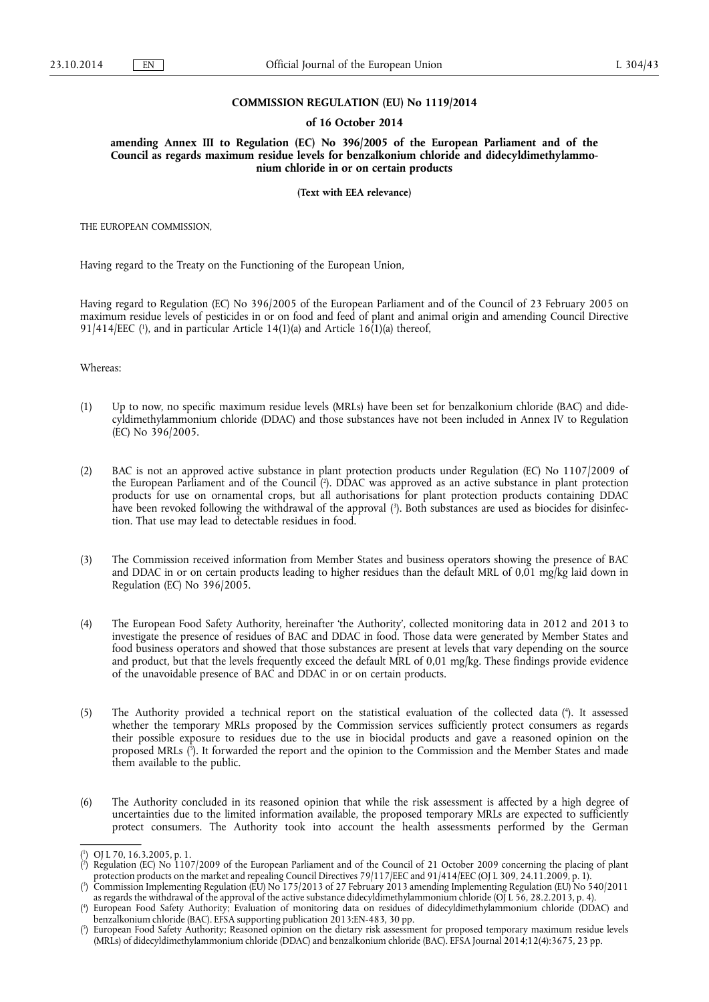### **COMMISSION REGULATION (EU) No 1119/2014**

#### **of 16 October 2014**

**amending Annex III to Regulation (EC) No 396/2005 of the European Parliament and of the Council as regards maximum residue levels for benzalkonium chloride and didecyldimethylammonium chloride in or on certain products** 

**(Text with EEA relevance)** 

THE EUROPEAN COMMISSION,

Having regard to the Treaty on the Functioning of the European Union,

Having regard to Regulation (EC) No 396/2005 of the European Parliament and of the Council of 23 February 2005 on maximum residue levels of pesticides in or on food and feed of plant and animal origin and amending Council Directive  $91/414/EEC$  ( $\prime$ ), and in particular Article 14(1)(a) and Article 16(1)(a) thereof,

Whereas:

- (1) Up to now, no specific maximum residue levels (MRLs) have been set for benzalkonium chloride (BAC) and didecyldimethylammonium chloride (DDAC) and those substances have not been included in Annex IV to Regulation (EC) No 396/2005.
- (2) BAC is not an approved active substance in plant protection products under Regulation (EC) No 1107/2009 of the European Parliament and of the Council ( 2 ). DDAC was approved as an active substance in plant protection products for use on ornamental crops, but all authorisations for plant protection products containing DDAC have been revoked following the withdrawal of the approval ( 3 ). Both substances are used as biocides for disinfection. That use may lead to detectable residues in food.
- (3) The Commission received information from Member States and business operators showing the presence of BAC and DDAC in or on certain products leading to higher residues than the default MRL of 0,01 mg/kg laid down in Regulation (EC) No 396/2005.
- (4) The European Food Safety Authority, hereinafter 'the Authority', collected monitoring data in 2012 and 2013 to investigate the presence of residues of BAC and DDAC in food. Those data were generated by Member States and food business operators and showed that those substances are present at levels that vary depending on the source and product, but that the levels frequently exceed the default MRL of 0,01 mg/kg. These findings provide evidence of the unavoidable presence of BAC and DDAC in or on certain products.
- (5) The Authority provided a technical report on the statistical evaluation of the collected data ( 4 ). It assessed whether the temporary MRLs proposed by the Commission services sufficiently protect consumers as regards their possible exposure to residues due to the use in biocidal products and gave a reasoned opinion on the proposed MRLs ( 5 ). It forwarded the report and the opinion to the Commission and the Member States and made them available to the public.
- (6) The Authority concluded in its reasoned opinion that while the risk assessment is affected by a high degree of uncertainties due to the limited information available, the proposed temporary MRLs are expected to sufficiently protect consumers. The Authority took into account the health assessments performed by the German

<sup>(</sup> 1 ) OJ L 70, 16.3.2005, p. 1.

<sup>(</sup> 2 ) Regulation (EC) No 1107/2009 of the European Parliament and of the Council of 21 October 2009 concerning the placing of plant protection products on the market and repealing Council Directives 79/117/EEC and 91/414/EEC (OJ L 309, 24.11.2009, p. 1).

<sup>(</sup> 3 ) Commission Implementing Regulation (EU) No 175/2013 of 27 February 2013 amending Implementing Regulation (EU) No 540/2011 as regards the withdrawal of the approval of the active substance didecyldimethylammonium chloride (OJ L 56, 28.2.2013, p. 4).

<sup>(</sup> 4 ) European Food Safety Authority; Evaluation of monitoring data on residues of didecyldimethylammonium chloride (DDAC) and benzalkonium chloride (BAC). EFSA supporting publication 2013:EN-483, 30 pp.

<sup>(</sup> 5 ) European Food Safety Authority; Reasoned opinion on the dietary risk assessment for proposed temporary maximum residue levels (MRLs) of didecyldimethylammonium chloride (DDAC) and benzalkonium chloride (BAC). EFSA Journal 2014;12(4):3675, 23 pp.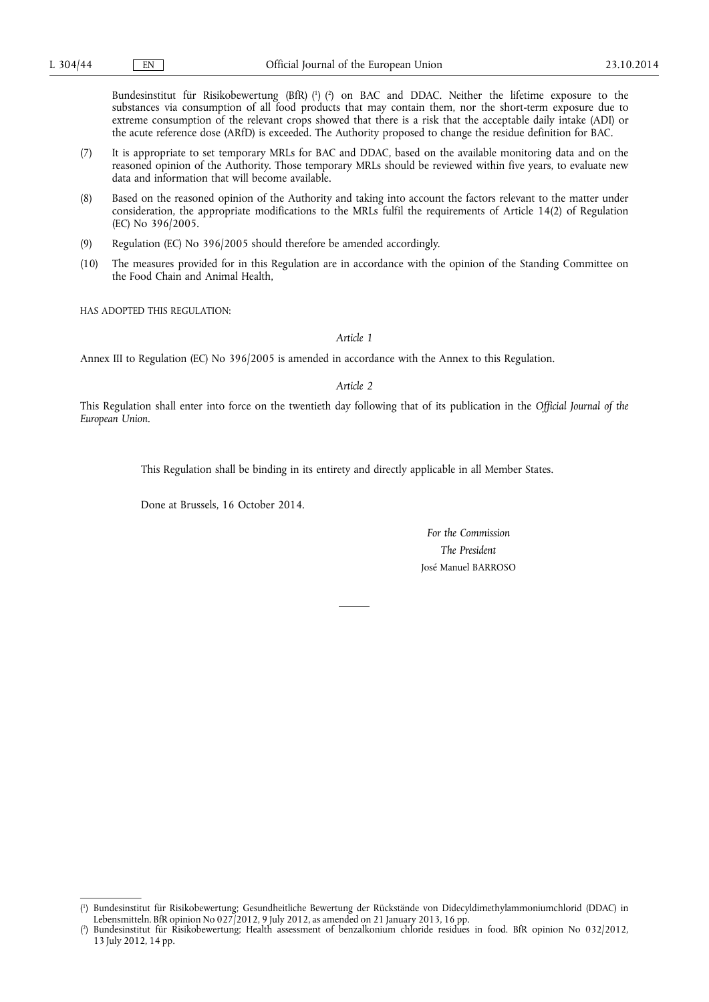Bundesinstitut für Risikobewertung (BfR) ( 1 ) ( 2 ) on BAC and DDAC. Neither the lifetime exposure to the substances via consumption of all food products that may contain them, nor the short-term exposure due to extreme consumption of the relevant crops showed that there is a risk that the acceptable daily intake (ADI) or the acute reference dose (ARfD) is exceeded. The Authority proposed to change the residue definition for BAC.

- (7) It is appropriate to set temporary MRLs for BAC and DDAC, based on the available monitoring data and on the reasoned opinion of the Authority. Those temporary MRLs should be reviewed within five years, to evaluate new data and information that will become available.
- (8) Based on the reasoned opinion of the Authority and taking into account the factors relevant to the matter under consideration, the appropriate modifications to the MRLs fulfil the requirements of Article 14(2) of Regulation (EC) No 396/2005.
- (9) Regulation (EC) No 396/2005 should therefore be amended accordingly.
- (10) The measures provided for in this Regulation are in accordance with the opinion of the Standing Committee on the Food Chain and Animal Health,

HAS ADOPTED THIS REGULATION:

*Article 1* 

Annex III to Regulation (EC) No 396/2005 is amended in accordance with the Annex to this Regulation.

*Article 2* 

This Regulation shall enter into force on the twentieth day following that of its publication in the *Official Journal of the European Union*.

This Regulation shall be binding in its entirety and directly applicable in all Member States.

Done at Brussels, 16 October 2014.

*For the Commission The President*  José Manuel BARROSO

<sup>(</sup> 1 ) Bundesinstitut für Risikobewertung; Gesundheitliche Bewertung der Rückstände von Didecyldimethylammoniumchlorid (DDAC) in Lebensmitteln. BfR opinion No 027 2012, 9 July 2012, as amended on 21 January 2013, 16 pp.

<sup>(</sup> 2 ) Bundesinstitut für Risikobewertung; Health assessment of benzalkonium chloride residues in food. BfR opinion No 032/2012, 13 July 2012, 14 pp.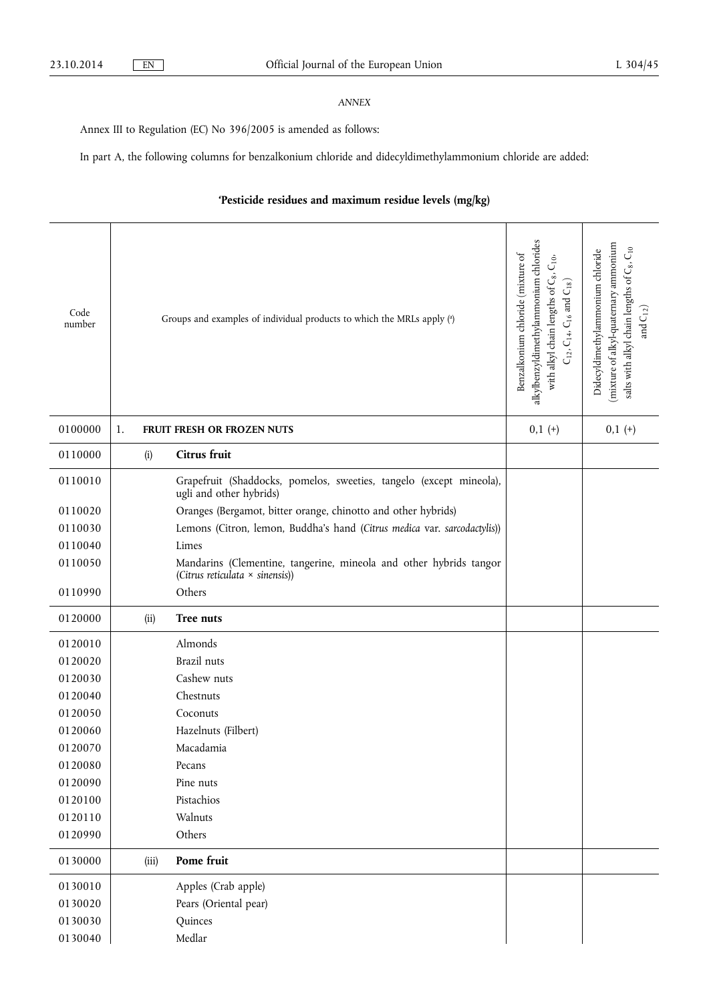# *ANNEX*

Annex III to Regulation (EC) No 396/2005 is amended as follows:

In part A, the following columns for benzalkonium chloride and didecyldimethylammonium chloride are added:

# **'Pesticide residues and maximum residue levels (mg/kg)**

| Code<br>number |    |       | Groups and examples of individual products to which the MRLs apply (a)                                | alkylbenzyldimethylammonium chlorides<br>Benzalkonium chloride (mixture of<br>$\mathsf{C}_{10},$<br>with alkyl chain lengths of C <sub>8</sub> ,<br>$C_{12}$ , $C_{14}$ , $C_{16}$ and $C_{18}$ ) | (mixture of alkyl-quaternary ammonium<br>$C_{10}$<br>Didecyldimethylammonium chloride<br>salts with alkyl chain lengths of C <sub>8</sub> ,<br>and $\mathrm{C}_{12})$ |
|----------------|----|-------|-------------------------------------------------------------------------------------------------------|---------------------------------------------------------------------------------------------------------------------------------------------------------------------------------------------------|-----------------------------------------------------------------------------------------------------------------------------------------------------------------------|
| 0100000        | 1. |       | FRUIT FRESH OR FROZEN NUTS                                                                            | $0,1 (+)$                                                                                                                                                                                         | $0,1 (+)$                                                                                                                                                             |
| 0110000        |    | (i)   | Citrus fruit                                                                                          |                                                                                                                                                                                                   |                                                                                                                                                                       |
| 0110010        |    |       | Grapefruit (Shaddocks, pomelos, sweeties, tangelo (except mineola),<br>ugli and other hybrids)        |                                                                                                                                                                                                   |                                                                                                                                                                       |
| 0110020        |    |       | Oranges (Bergamot, bitter orange, chinotto and other hybrids)                                         |                                                                                                                                                                                                   |                                                                                                                                                                       |
| 0110030        |    |       | Lemons (Citron, lemon, Buddha's hand (Citrus medica var. sarcodactylis))                              |                                                                                                                                                                                                   |                                                                                                                                                                       |
| 0110040        |    |       | Limes                                                                                                 |                                                                                                                                                                                                   |                                                                                                                                                                       |
| 0110050        |    |       | Mandarins (Clementine, tangerine, mineola and other hybrids tangor<br>(Citrus reticulata × sinensis)) |                                                                                                                                                                                                   |                                                                                                                                                                       |
| 0110990        |    |       | Others                                                                                                |                                                                                                                                                                                                   |                                                                                                                                                                       |
| 0120000        |    | (ii)  | Tree nuts                                                                                             |                                                                                                                                                                                                   |                                                                                                                                                                       |
| 0120010        |    |       | Almonds                                                                                               |                                                                                                                                                                                                   |                                                                                                                                                                       |
| 0120020        |    |       | Brazil nuts                                                                                           |                                                                                                                                                                                                   |                                                                                                                                                                       |
| 0120030        |    |       | Cashew nuts                                                                                           |                                                                                                                                                                                                   |                                                                                                                                                                       |
| 0120040        |    |       | Chestnuts                                                                                             |                                                                                                                                                                                                   |                                                                                                                                                                       |
| 0120050        |    |       | Coconuts                                                                                              |                                                                                                                                                                                                   |                                                                                                                                                                       |
| 0120060        |    |       | Hazelnuts (Filbert)                                                                                   |                                                                                                                                                                                                   |                                                                                                                                                                       |
| 0120070        |    |       | Macadamia                                                                                             |                                                                                                                                                                                                   |                                                                                                                                                                       |
| 0120080        |    |       | Pecans                                                                                                |                                                                                                                                                                                                   |                                                                                                                                                                       |
| 0120090        |    |       | Pine nuts                                                                                             |                                                                                                                                                                                                   |                                                                                                                                                                       |
| 0120100        |    |       | Pistachios                                                                                            |                                                                                                                                                                                                   |                                                                                                                                                                       |
| 0120110        |    |       | Walnuts                                                                                               |                                                                                                                                                                                                   |                                                                                                                                                                       |
| 0120990        |    |       | Others                                                                                                |                                                                                                                                                                                                   |                                                                                                                                                                       |
| 0130000        |    | (iii) | Pome fruit                                                                                            |                                                                                                                                                                                                   |                                                                                                                                                                       |
| 0130010        |    |       | Apples (Crab apple)                                                                                   |                                                                                                                                                                                                   |                                                                                                                                                                       |
| 0130020        |    |       | Pears (Oriental pear)                                                                                 |                                                                                                                                                                                                   |                                                                                                                                                                       |
| 0130030        |    |       | Quinces                                                                                               |                                                                                                                                                                                                   |                                                                                                                                                                       |
| 0130040        |    |       | Medlar                                                                                                |                                                                                                                                                                                                   |                                                                                                                                                                       |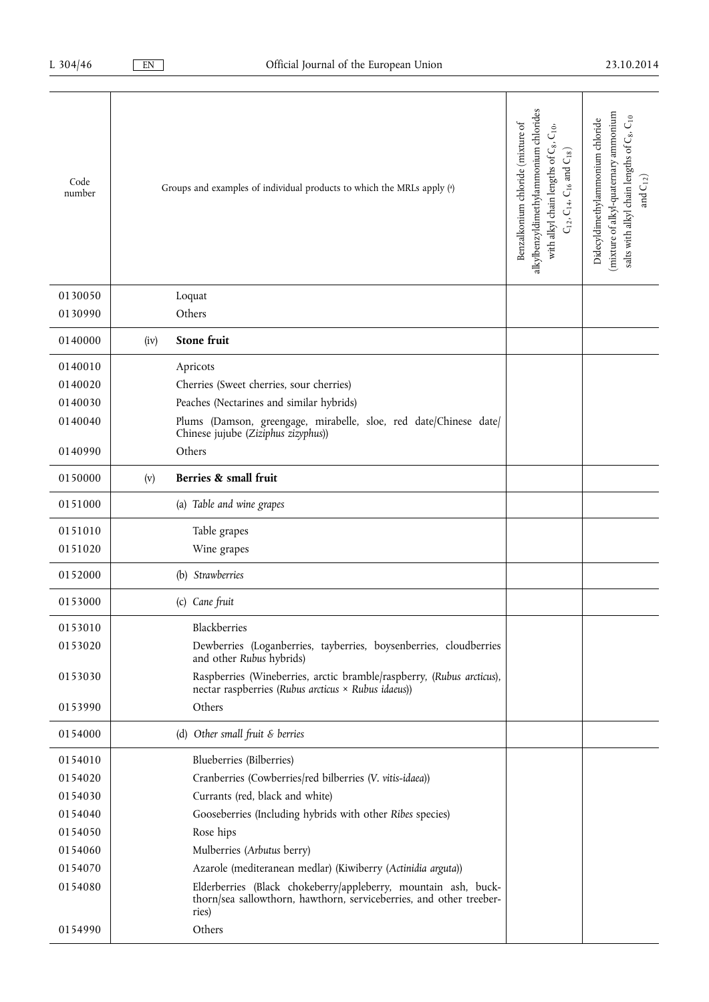| Code<br>number |      | Groups and examples of individual products to which the MRLs apply (a)                                                                         | alkylbenzyldimethylammonium chlorides<br>Benzalkonium chloride (mixture of<br>$C_{10}$<br>with alkyl chain lengths of C <sub>8</sub> ,<br>$C_{12}$ , $C_{14}$ , $C_{16}$ and $C_{18}$ ) | mixture of alkyl-quatemary ammonium<br>salts with alkyl chain lengths of C <sub>8</sub> , C <sub>10</sub><br>Didecyldimethylammonium chloride<br>and $C_{12}$ ) |
|----------------|------|------------------------------------------------------------------------------------------------------------------------------------------------|-----------------------------------------------------------------------------------------------------------------------------------------------------------------------------------------|-----------------------------------------------------------------------------------------------------------------------------------------------------------------|
| 0130050        |      | Loquat                                                                                                                                         |                                                                                                                                                                                         |                                                                                                                                                                 |
| 0130990        |      | Others                                                                                                                                         |                                                                                                                                                                                         |                                                                                                                                                                 |
| 0140000        | (iv) | Stone fruit                                                                                                                                    |                                                                                                                                                                                         |                                                                                                                                                                 |
| 0140010        |      | Apricots                                                                                                                                       |                                                                                                                                                                                         |                                                                                                                                                                 |
| 0140020        |      | Cherries (Sweet cherries, sour cherries)                                                                                                       |                                                                                                                                                                                         |                                                                                                                                                                 |
| 0140030        |      | Peaches (Nectarines and similar hybrids)                                                                                                       |                                                                                                                                                                                         |                                                                                                                                                                 |
| 0140040        |      | Plums (Damson, greengage, mirabelle, sloe, red date/Chinese date/<br>Chinese jujube (Ziziphus zizyphus))                                       |                                                                                                                                                                                         |                                                                                                                                                                 |
| 0140990        |      | Others                                                                                                                                         |                                                                                                                                                                                         |                                                                                                                                                                 |
| 0150000        | (v)  | Berries & small fruit                                                                                                                          |                                                                                                                                                                                         |                                                                                                                                                                 |
| 0151000        |      | (a) Table and wine grapes                                                                                                                      |                                                                                                                                                                                         |                                                                                                                                                                 |
| 0151010        |      | Table grapes                                                                                                                                   |                                                                                                                                                                                         |                                                                                                                                                                 |
| 0151020        |      | Wine grapes                                                                                                                                    |                                                                                                                                                                                         |                                                                                                                                                                 |
| 0152000        |      | (b) Strawberries                                                                                                                               |                                                                                                                                                                                         |                                                                                                                                                                 |
| 0153000        |      | (c) Cane fruit                                                                                                                                 |                                                                                                                                                                                         |                                                                                                                                                                 |
| 0153010        |      | Blackberries                                                                                                                                   |                                                                                                                                                                                         |                                                                                                                                                                 |
| 0153020        |      | Dewberries (Loganberries, tayberries, boysenberries, cloudberries<br>and other Rubus hybrids)                                                  |                                                                                                                                                                                         |                                                                                                                                                                 |
| 0153030        |      | Raspberries (Wineberries, arctic bramble/raspberry, (Rubus arcticus),<br>nectar raspberries (Rubus arcticus × Rubus idaeus))                   |                                                                                                                                                                                         |                                                                                                                                                                 |
| 0153990        |      | Others                                                                                                                                         |                                                                                                                                                                                         |                                                                                                                                                                 |
| 0154000        |      | (d) Other small fruit $\varepsilon$ berries                                                                                                    |                                                                                                                                                                                         |                                                                                                                                                                 |
| 0154010        |      | Blueberries (Bilberries)                                                                                                                       |                                                                                                                                                                                         |                                                                                                                                                                 |
| 0154020        |      | Cranberries (Cowberries/red bilberries (V. vitis-idaea))                                                                                       |                                                                                                                                                                                         |                                                                                                                                                                 |
| 0154030        |      | Currants (red, black and white)                                                                                                                |                                                                                                                                                                                         |                                                                                                                                                                 |
| 0154040        |      | Gooseberries (Including hybrids with other Ribes species)                                                                                      |                                                                                                                                                                                         |                                                                                                                                                                 |
| 0154050        |      | Rose hips                                                                                                                                      |                                                                                                                                                                                         |                                                                                                                                                                 |
| 0154060        |      | Mulberries (Arbutus berry)                                                                                                                     |                                                                                                                                                                                         |                                                                                                                                                                 |
| 0154070        |      | Azarole (mediteranean medlar) (Kiwiberry (Actinidia arguta))                                                                                   |                                                                                                                                                                                         |                                                                                                                                                                 |
| 0154080        |      | Elderberries (Black chokeberry/appleberry, mountain ash, buck-<br>thorn/sea sallowthorn, hawthorn, serviceberries, and other treeber-<br>ries) |                                                                                                                                                                                         |                                                                                                                                                                 |
| 0154990        |      | Others                                                                                                                                         |                                                                                                                                                                                         |                                                                                                                                                                 |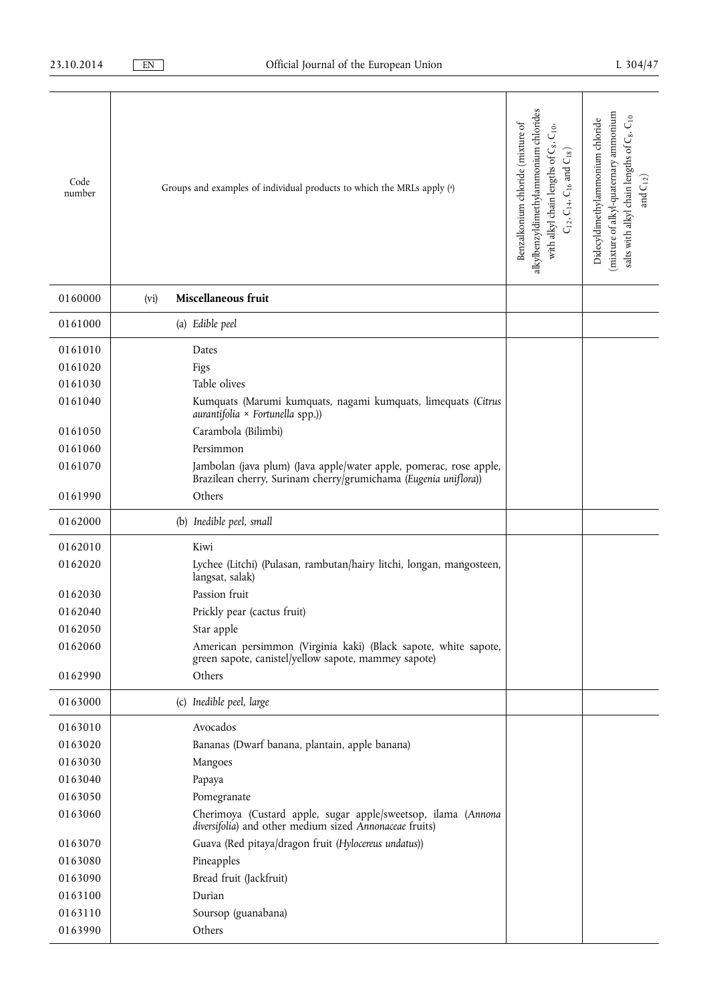| Code<br>number | Groups and examples of individual products to which the MRLs apply (a)                                                                | alkylbenzyldimethylammonium chlorides<br>Benzalkonium chloride (mixture of<br>$C_{10}$<br>with alkyl chain lengths of C <sub>8</sub> ,<br>$C_{12}$ , $C_{14}$ , $C_{16}$ and $C_{18}$ ) | (mixture of alkyl-quaternary ammonium<br>salts with alkyl chain lengths of C <sub>8</sub> , C <sub>10</sub><br>Didecyldimethylammonium chloride<br>and $\mathrm{C}_{12})$ |
|----------------|---------------------------------------------------------------------------------------------------------------------------------------|-----------------------------------------------------------------------------------------------------------------------------------------------------------------------------------------|---------------------------------------------------------------------------------------------------------------------------------------------------------------------------|
| 0160000        | Miscellaneous fruit<br>(vi)                                                                                                           |                                                                                                                                                                                         |                                                                                                                                                                           |
| 0161000        | (a) Edible peel                                                                                                                       |                                                                                                                                                                                         |                                                                                                                                                                           |
| 0161010        | Dates                                                                                                                                 |                                                                                                                                                                                         |                                                                                                                                                                           |
| 0161020        | Figs                                                                                                                                  |                                                                                                                                                                                         |                                                                                                                                                                           |
| 0161030        | Table olives                                                                                                                          |                                                                                                                                                                                         |                                                                                                                                                                           |
| 0161040        | Kumquats (Marumi kumquats, nagami kumquats, limequats (Citrus<br>$aurantifolia \times Fortunatelyla$ spp.))                           |                                                                                                                                                                                         |                                                                                                                                                                           |
| 0161050        | Carambola (Bilimbi)                                                                                                                   |                                                                                                                                                                                         |                                                                                                                                                                           |
| 0161060        | Persimmon                                                                                                                             |                                                                                                                                                                                         |                                                                                                                                                                           |
| 0161070        | Jambolan (java plum) (Java apple/water apple, pomerac, rose apple,<br>Brazilean cherry, Surinam cherry/grumichama (Eugenia uniflora)) |                                                                                                                                                                                         |                                                                                                                                                                           |
| 0161990        | Others                                                                                                                                |                                                                                                                                                                                         |                                                                                                                                                                           |
| 0162000        | (b) Inedible peel, small                                                                                                              |                                                                                                                                                                                         |                                                                                                                                                                           |
| 0162010        | Kiwi                                                                                                                                  |                                                                                                                                                                                         |                                                                                                                                                                           |
| 0162020        | Lychee (Litchi) (Pulasan, rambutan/hairy litchi, longan, mangosteen,<br>langsat, salak)                                               |                                                                                                                                                                                         |                                                                                                                                                                           |
| 0162030        | Passion fruit                                                                                                                         |                                                                                                                                                                                         |                                                                                                                                                                           |
| 0162040        | Prickly pear (cactus fruit)                                                                                                           |                                                                                                                                                                                         |                                                                                                                                                                           |
| 0162050        | Star apple                                                                                                                            |                                                                                                                                                                                         |                                                                                                                                                                           |
| 0162060        | American persimmon (Virginia kaki) (Black sapote, white sapote,<br>green sapote, canistel/yellow sapote, mammey sapote)               |                                                                                                                                                                                         |                                                                                                                                                                           |
| 0162990        | Others                                                                                                                                |                                                                                                                                                                                         |                                                                                                                                                                           |
| 0163000        | (c) Inedible peel, large                                                                                                              |                                                                                                                                                                                         |                                                                                                                                                                           |
| 0163010        | Avocados                                                                                                                              |                                                                                                                                                                                         |                                                                                                                                                                           |
| 0163020        | Bananas (Dwarf banana, plantain, apple banana)                                                                                        |                                                                                                                                                                                         |                                                                                                                                                                           |
| 0163030        | Mangoes                                                                                                                               |                                                                                                                                                                                         |                                                                                                                                                                           |
| 0163040        | Papaya                                                                                                                                |                                                                                                                                                                                         |                                                                                                                                                                           |
| 0163050        | Pomegranate                                                                                                                           |                                                                                                                                                                                         |                                                                                                                                                                           |
| 0163060        | Cherimoya (Custard apple, sugar apple/sweetsop, ilama (Annona<br>diversifolia) and other medium sized Annonaceae fruits)              |                                                                                                                                                                                         |                                                                                                                                                                           |
| 0163070        | Guava (Red pitaya/dragon fruit (Hylocereus undatus))                                                                                  |                                                                                                                                                                                         |                                                                                                                                                                           |
| 0163080        | Pineapples                                                                                                                            |                                                                                                                                                                                         |                                                                                                                                                                           |
| 0163090        | Bread fruit (Jackfruit)                                                                                                               |                                                                                                                                                                                         |                                                                                                                                                                           |
| 0163100        | Durian                                                                                                                                |                                                                                                                                                                                         |                                                                                                                                                                           |
| 0163110        | Soursop (guanabana)                                                                                                                   |                                                                                                                                                                                         |                                                                                                                                                                           |
| 0163990        | Others                                                                                                                                |                                                                                                                                                                                         |                                                                                                                                                                           |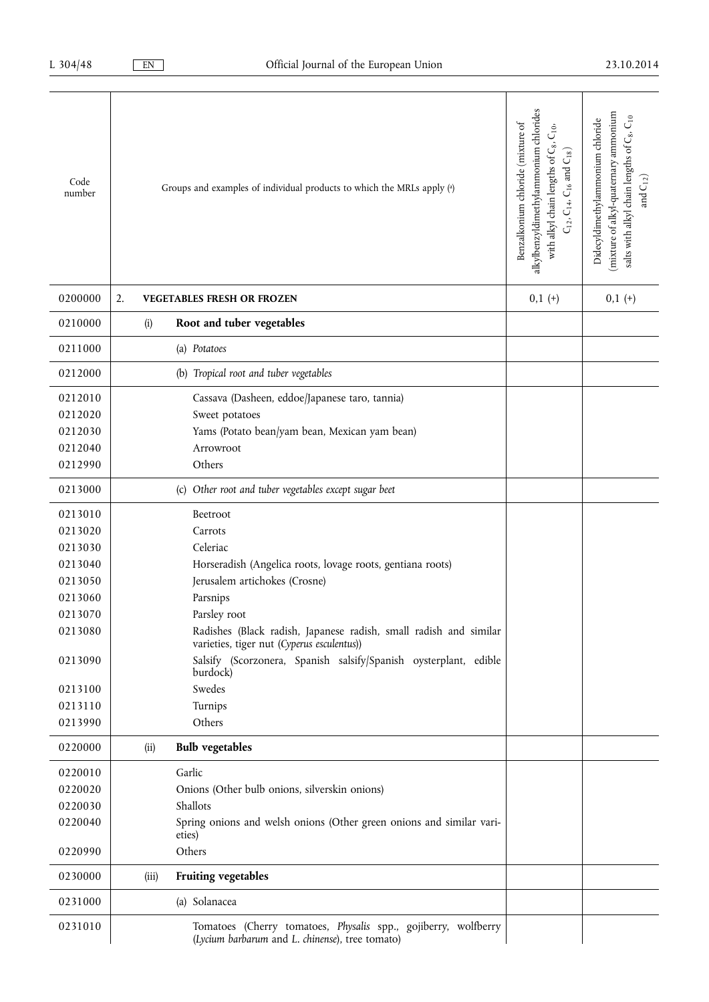| Code<br>number | Groups and examples of individual products to which the MRLs apply (a)                                            | alkylbenzyldimethylammonium chlorides<br>Benzalkonium chloride (mixture of<br>$\mathsf{C}^{0\mathsf{i}}$<br>with alkyl chain lengths of C8.<br>$C_{12}$ , $C_{14}$ , $C_{16}$ and $C_{18}$ ) | mixture of alkyl-quatemary ammonium<br>salts with alkyl chain lengths of C <sub>8</sub> , C <sub>10</sub><br>Didecyldimethylammonium chloride<br>and $\mathrm{C}_{12})$ |
|----------------|-------------------------------------------------------------------------------------------------------------------|----------------------------------------------------------------------------------------------------------------------------------------------------------------------------------------------|-------------------------------------------------------------------------------------------------------------------------------------------------------------------------|
| 0200000        | 2.<br><b>VEGETABLES FRESH OR FROZEN</b>                                                                           | $0,1 (+)$                                                                                                                                                                                    | $0,1 (+)$                                                                                                                                                               |
| 0210000        | Root and tuber vegetables<br>(i)                                                                                  |                                                                                                                                                                                              |                                                                                                                                                                         |
| 0211000        | (a) Potatoes                                                                                                      |                                                                                                                                                                                              |                                                                                                                                                                         |
| 0212000        | (b) Tropical root and tuber vegetables                                                                            |                                                                                                                                                                                              |                                                                                                                                                                         |
| 0212010        | Cassava (Dasheen, eddoe/Japanese taro, tannia)                                                                    |                                                                                                                                                                                              |                                                                                                                                                                         |
| 0212020        | Sweet potatoes                                                                                                    |                                                                                                                                                                                              |                                                                                                                                                                         |
| 0212030        | Yams (Potato bean/yam bean, Mexican yam bean)                                                                     |                                                                                                                                                                                              |                                                                                                                                                                         |
| 0212040        | Arrowroot                                                                                                         |                                                                                                                                                                                              |                                                                                                                                                                         |
| 0212990        | Others                                                                                                            |                                                                                                                                                                                              |                                                                                                                                                                         |
| 0213000        | (c) Other root and tuber vegetables except sugar beet                                                             |                                                                                                                                                                                              |                                                                                                                                                                         |
| 0213010        | Beetroot                                                                                                          |                                                                                                                                                                                              |                                                                                                                                                                         |
| 0213020        | Carrots                                                                                                           |                                                                                                                                                                                              |                                                                                                                                                                         |
| 0213030        | Celeriac                                                                                                          |                                                                                                                                                                                              |                                                                                                                                                                         |
| 0213040        | Horseradish (Angelica roots, lovage roots, gentiana roots)                                                        |                                                                                                                                                                                              |                                                                                                                                                                         |
| 0213050        | Jerusalem artichokes (Crosne)                                                                                     |                                                                                                                                                                                              |                                                                                                                                                                         |
| 0213060        | Parsnips                                                                                                          |                                                                                                                                                                                              |                                                                                                                                                                         |
| 0213070        | Parsley root                                                                                                      |                                                                                                                                                                                              |                                                                                                                                                                         |
| 0213080        | Radishes (Black radish, Japanese radish, small radish and similar<br>varieties, tiger nut (Cyperus esculentus))   |                                                                                                                                                                                              |                                                                                                                                                                         |
| 0213090        | Salsify (Scorzonera, Spanish salsify/Spanish oysterplant, edible<br>burdock)                                      |                                                                                                                                                                                              |                                                                                                                                                                         |
| 0213100        | Swedes                                                                                                            |                                                                                                                                                                                              |                                                                                                                                                                         |
| 0213110        | Turnips                                                                                                           |                                                                                                                                                                                              |                                                                                                                                                                         |
| 0213990        | Others                                                                                                            |                                                                                                                                                                                              |                                                                                                                                                                         |
| 0220000        | <b>Bulb vegetables</b><br>(ii)                                                                                    |                                                                                                                                                                                              |                                                                                                                                                                         |
| 0220010        | Garlic                                                                                                            |                                                                                                                                                                                              |                                                                                                                                                                         |
| 0220020        | Onions (Other bulb onions, silverskin onions)                                                                     |                                                                                                                                                                                              |                                                                                                                                                                         |
| 0220030        | Shallots                                                                                                          |                                                                                                                                                                                              |                                                                                                                                                                         |
| 0220040        | Spring onions and welsh onions (Other green onions and similar vari-<br>eties)                                    |                                                                                                                                                                                              |                                                                                                                                                                         |
| 0220990        | Others                                                                                                            |                                                                                                                                                                                              |                                                                                                                                                                         |
| 0230000        | <b>Fruiting vegetables</b><br>(iii)                                                                               |                                                                                                                                                                                              |                                                                                                                                                                         |
| 0231000        | (a) Solanacea                                                                                                     |                                                                                                                                                                                              |                                                                                                                                                                         |
| 0231010        | Tomatoes (Cherry tomatoes, Physalis spp., gojiberry, wolfberry<br>(Lycium barbarum and L. chinense), tree tomato) |                                                                                                                                                                                              |                                                                                                                                                                         |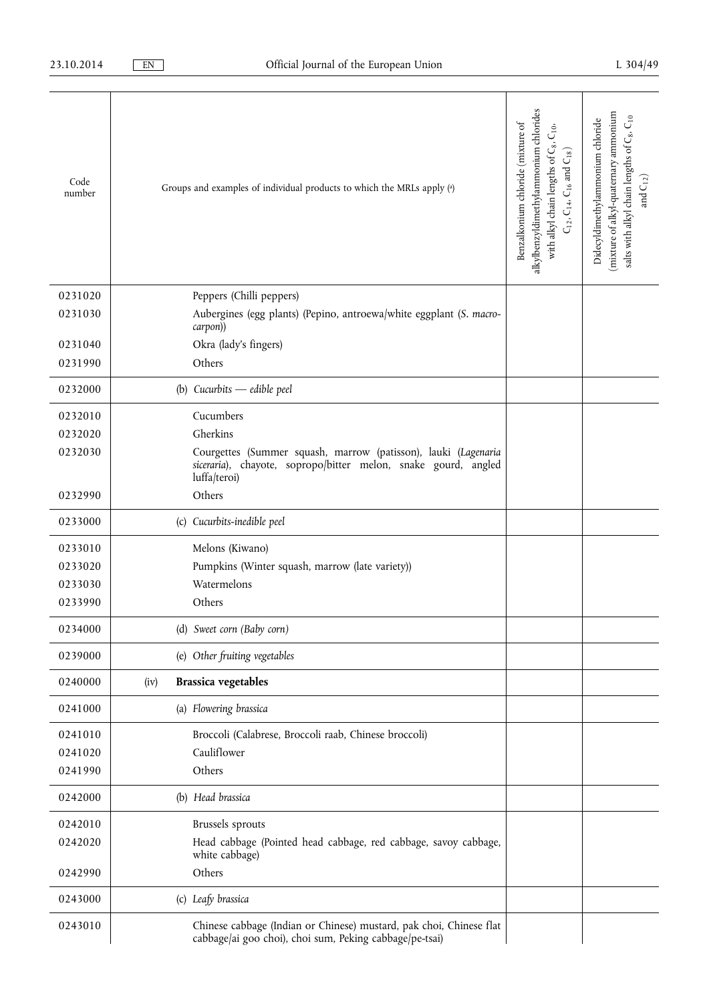| Code<br>number | Groups and examples of individual products to which the MRLs apply (a)                                                         | alkylbenzyldimethylammonium chlorides<br>Benzalkonium chloride (mixture of<br>$\mathsf{C}_{10},$<br>with alkyl chain lengths of C <sub>8</sub> ,<br>$C_{12}$ , $C_{14}$ , $C_{16}$ and $C_{18}$ ) | mixture of alkyl-quatemary ammonium<br>salts with alkyl chain lengths of C <sub>8</sub> , C <sub>10</sub><br>Didecyldimethylammonium chloride<br>and $C_{12}$ ) |
|----------------|--------------------------------------------------------------------------------------------------------------------------------|---------------------------------------------------------------------------------------------------------------------------------------------------------------------------------------------------|-----------------------------------------------------------------------------------------------------------------------------------------------------------------|
| 0231020        | Peppers (Chilli peppers)                                                                                                       |                                                                                                                                                                                                   |                                                                                                                                                                 |
| 0231030        | Aubergines (egg plants) (Pepino, antroewa/white eggplant (S. macro-<br>carpon))                                                |                                                                                                                                                                                                   |                                                                                                                                                                 |
| 0231040        | Okra (lady's fingers)                                                                                                          |                                                                                                                                                                                                   |                                                                                                                                                                 |
| 0231990        | Others                                                                                                                         |                                                                                                                                                                                                   |                                                                                                                                                                 |
| 0232000        | (b) Cucurbits $-$ edible peel                                                                                                  |                                                                                                                                                                                                   |                                                                                                                                                                 |
| 0232010        | Cucumbers                                                                                                                      |                                                                                                                                                                                                   |                                                                                                                                                                 |
| 0232020        | Gherkins                                                                                                                       |                                                                                                                                                                                                   |                                                                                                                                                                 |
| 0232030        | Courgettes (Summer squash, marrow (patisson), lauki (Lagenaria                                                                 |                                                                                                                                                                                                   |                                                                                                                                                                 |
|                | siceraria), chayote, sopropo/bitter melon, snake gourd, angled<br>luffa/teroi)                                                 |                                                                                                                                                                                                   |                                                                                                                                                                 |
| 0232990        | Others                                                                                                                         |                                                                                                                                                                                                   |                                                                                                                                                                 |
| 0233000        | (c) Cucurbits-inedible peel                                                                                                    |                                                                                                                                                                                                   |                                                                                                                                                                 |
| 0233010        | Melons (Kiwano)                                                                                                                |                                                                                                                                                                                                   |                                                                                                                                                                 |
| 0233020        | Pumpkins (Winter squash, marrow (late variety))                                                                                |                                                                                                                                                                                                   |                                                                                                                                                                 |
| 0233030        | Watermelons                                                                                                                    |                                                                                                                                                                                                   |                                                                                                                                                                 |
| 0233990        | Others                                                                                                                         |                                                                                                                                                                                                   |                                                                                                                                                                 |
| 0234000        | (d) Sweet corn (Baby corn)                                                                                                     |                                                                                                                                                                                                   |                                                                                                                                                                 |
| 0239000        | (e) Other fruiting vegetables                                                                                                  |                                                                                                                                                                                                   |                                                                                                                                                                 |
| 0240000        | <b>Brassica vegetables</b><br>(iv)                                                                                             |                                                                                                                                                                                                   |                                                                                                                                                                 |
| 0241000        | (a) Flowering brassica                                                                                                         |                                                                                                                                                                                                   |                                                                                                                                                                 |
| 0241010        | Broccoli (Calabrese, Broccoli raab, Chinese broccoli)                                                                          |                                                                                                                                                                                                   |                                                                                                                                                                 |
| 0241020        | Cauliflower                                                                                                                    |                                                                                                                                                                                                   |                                                                                                                                                                 |
| 0241990        | Others                                                                                                                         |                                                                                                                                                                                                   |                                                                                                                                                                 |
| 0242000        | (b) Head brassica                                                                                                              |                                                                                                                                                                                                   |                                                                                                                                                                 |
| 0242010        | Brussels sprouts                                                                                                               |                                                                                                                                                                                                   |                                                                                                                                                                 |
| 0242020        | Head cabbage (Pointed head cabbage, red cabbage, savoy cabbage,<br>white cabbage)                                              |                                                                                                                                                                                                   |                                                                                                                                                                 |
| 0242990        | Others                                                                                                                         |                                                                                                                                                                                                   |                                                                                                                                                                 |
| 0243000        | (c) Leafy brassica                                                                                                             |                                                                                                                                                                                                   |                                                                                                                                                                 |
| 0243010        | Chinese cabbage (Indian or Chinese) mustard, pak choi, Chinese flat<br>cabbage/ai goo choi), choi sum, Peking cabbage/pe-tsai) |                                                                                                                                                                                                   |                                                                                                                                                                 |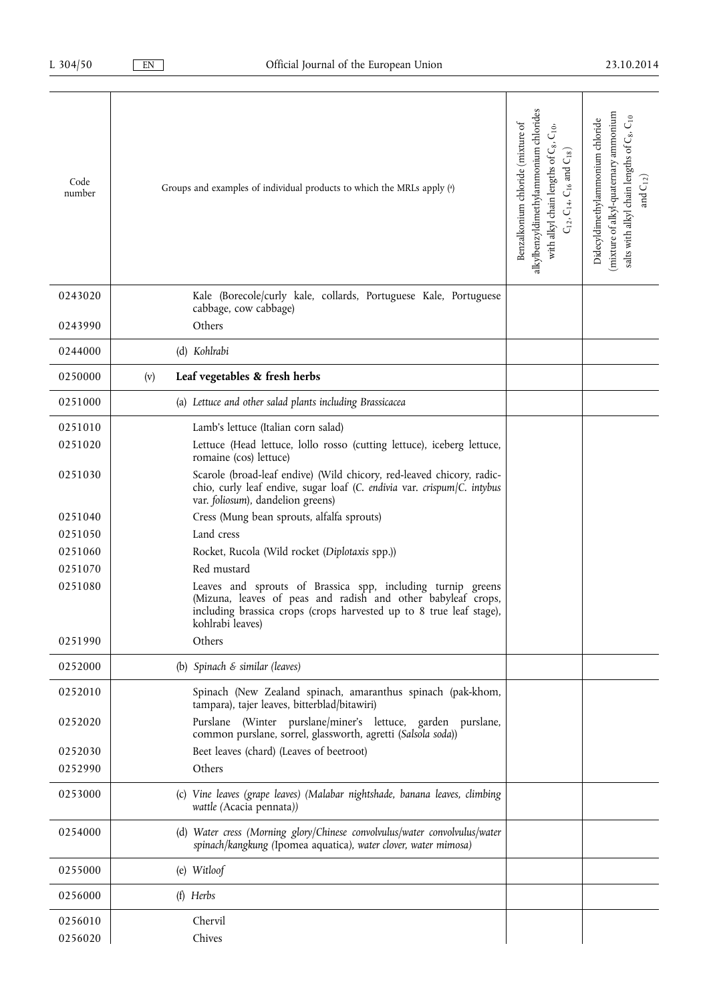| Code<br>number | Groups and examples of individual products to which the MRLs apply (a)                                                                                                                                                 | alkylbenzyldimethylammonium chlorides<br>Benzalkonium chloride (mixture of<br>$\mathsf{C}_{10},$<br>with alkyl chain lengths of C <sub>8</sub> ,<br>$C_{12}$ , $C_{14}$ , $C_{16}$ and $C_{18}$ ) | mixture of alkyl-quatemary ammonium<br>salts with alkyl chain lengths of C <sub>8</sub> , C <sub>10</sub><br>Didecyldimethylammonium chloride<br>and $\mathrm{C}_{12})$ |
|----------------|------------------------------------------------------------------------------------------------------------------------------------------------------------------------------------------------------------------------|---------------------------------------------------------------------------------------------------------------------------------------------------------------------------------------------------|-------------------------------------------------------------------------------------------------------------------------------------------------------------------------|
| 0243020        | Kale (Borecole/curly kale, collards, Portuguese Kale, Portuguese<br>cabbage, cow cabbage)                                                                                                                              |                                                                                                                                                                                                   |                                                                                                                                                                         |
| 0243990        | Others                                                                                                                                                                                                                 |                                                                                                                                                                                                   |                                                                                                                                                                         |
| 0244000        | (d) Kohlrabi                                                                                                                                                                                                           |                                                                                                                                                                                                   |                                                                                                                                                                         |
| 0250000        | Leaf vegetables & fresh herbs<br>(v)                                                                                                                                                                                   |                                                                                                                                                                                                   |                                                                                                                                                                         |
| 0251000        | (a) Lettuce and other salad plants including Brassicacea                                                                                                                                                               |                                                                                                                                                                                                   |                                                                                                                                                                         |
| 0251010        | Lamb's lettuce (Italian corn salad)                                                                                                                                                                                    |                                                                                                                                                                                                   |                                                                                                                                                                         |
| 0251020        | Lettuce (Head lettuce, lollo rosso (cutting lettuce), iceberg lettuce,<br>romaine (cos) lettuce)                                                                                                                       |                                                                                                                                                                                                   |                                                                                                                                                                         |
| 0251030        | Scarole (broad-leaf endive) (Wild chicory, red-leaved chicory, radic-<br>chio, curly leaf endive, sugar loaf (C. endivia var. crispum/C. intybus<br>var. foliosum), dandelion greens)                                  |                                                                                                                                                                                                   |                                                                                                                                                                         |
| 0251040        | Cress (Mung bean sprouts, alfalfa sprouts)                                                                                                                                                                             |                                                                                                                                                                                                   |                                                                                                                                                                         |
| 0251050        | Land cress                                                                                                                                                                                                             |                                                                                                                                                                                                   |                                                                                                                                                                         |
| 0251060        | Rocket, Rucola (Wild rocket (Diplotaxis spp.))                                                                                                                                                                         |                                                                                                                                                                                                   |                                                                                                                                                                         |
| 0251070        | Red mustard                                                                                                                                                                                                            |                                                                                                                                                                                                   |                                                                                                                                                                         |
| 0251080        | Leaves and sprouts of Brassica spp, including turnip greens<br>(Mizuna, leaves of peas and radish and other babyleaf crops,<br>including brassica crops (crops harvested up to 8 true leaf stage),<br>kohlrabi leaves) |                                                                                                                                                                                                   |                                                                                                                                                                         |
| 0251990        | Others                                                                                                                                                                                                                 |                                                                                                                                                                                                   |                                                                                                                                                                         |
| 0252000        | (b) Spinach & similar (leaves)                                                                                                                                                                                         |                                                                                                                                                                                                   |                                                                                                                                                                         |
| 0252010        | Spinach (New Zealand spinach, amaranthus spinach (pak-khom,<br>tampara), tajer leaves, bitterblad/bitawiri)                                                                                                            |                                                                                                                                                                                                   |                                                                                                                                                                         |
| 0252020        | Purslane (Winter purslane/miner's lettuce, garden purslane,<br>common purslane, sorrel, glassworth, agretti (Salsola soda))                                                                                            |                                                                                                                                                                                                   |                                                                                                                                                                         |
| 0252030        | Beet leaves (chard) (Leaves of beetroot)                                                                                                                                                                               |                                                                                                                                                                                                   |                                                                                                                                                                         |
| 0252990        | Others                                                                                                                                                                                                                 |                                                                                                                                                                                                   |                                                                                                                                                                         |
| 0253000        | (c) Vine leaves (grape leaves) (Malabar nightshade, banana leaves, climbing<br>wattle (Acacia pennata))                                                                                                                |                                                                                                                                                                                                   |                                                                                                                                                                         |
| 0254000        | (d) Water cress (Morning glory/Chinese convolvulus/water convolvulus/water<br>spinach/kangkung (Ipomea aquatica), water clover, water mimosa)                                                                          |                                                                                                                                                                                                   |                                                                                                                                                                         |
| 0255000        | (e) Witloof                                                                                                                                                                                                            |                                                                                                                                                                                                   |                                                                                                                                                                         |
| 0256000        | $(f)$ Herbs                                                                                                                                                                                                            |                                                                                                                                                                                                   |                                                                                                                                                                         |
| 0256010        | Chervil                                                                                                                                                                                                                |                                                                                                                                                                                                   |                                                                                                                                                                         |
| 0256020        | Chives                                                                                                                                                                                                                 |                                                                                                                                                                                                   |                                                                                                                                                                         |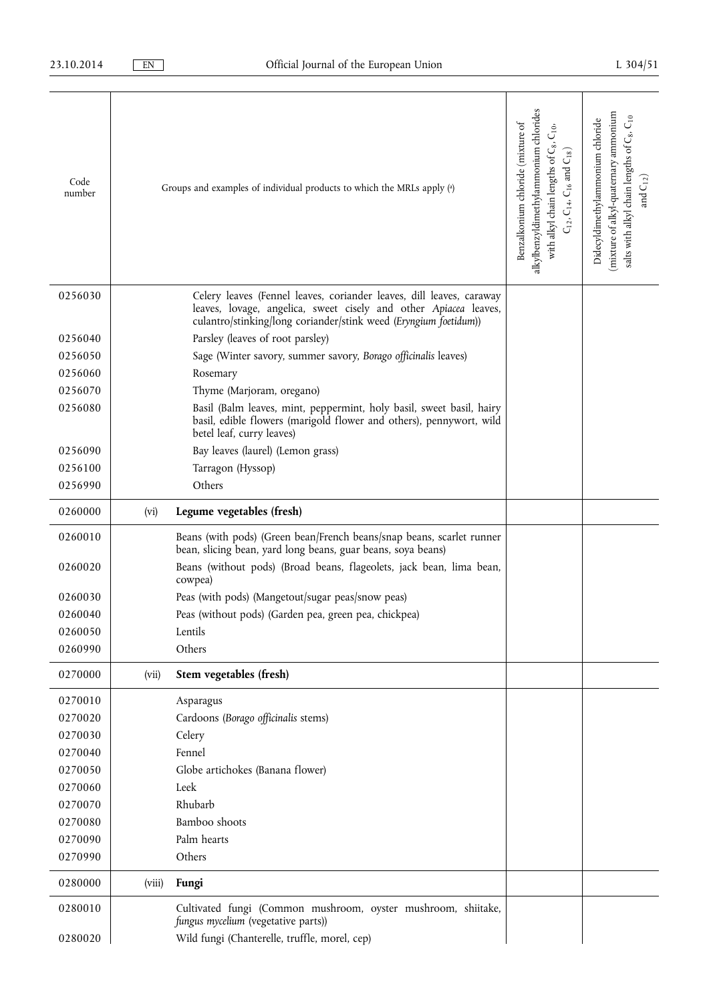| Code<br>number |        | Groups and examples of individual products to which the MRLs apply (a)                                                                                                                                       | alkylbenzyldimethylammonium chlorides<br>Benzalkonium chloride (mixture of<br>$\mathsf{C}_{10},$<br>with alkyl chain lengths of C <sub>8</sub> ,<br>$\mathsf{C}_{18})$<br>$C_{12}$ , $C_{14}$ , $C_{16}$ and | mixture of alkyl-quatemary ammonium<br>salts with alkyl chain lengths of C <sub>8</sub> , C <sub>10</sub><br>Didecyldimethylammonium chloride<br>and $\mathrm{C}_{12})$ |
|----------------|--------|--------------------------------------------------------------------------------------------------------------------------------------------------------------------------------------------------------------|--------------------------------------------------------------------------------------------------------------------------------------------------------------------------------------------------------------|-------------------------------------------------------------------------------------------------------------------------------------------------------------------------|
| 0256030        |        | Celery leaves (Fennel leaves, coriander leaves, dill leaves, caraway<br>leaves, lovage, angelica, sweet cisely and other Apiacea leaves,<br>culantro/stinking/long coriander/stink weed (Eryngium foetidum)) |                                                                                                                                                                                                              |                                                                                                                                                                         |
| 0256040        |        | Parsley (leaves of root parsley)                                                                                                                                                                             |                                                                                                                                                                                                              |                                                                                                                                                                         |
| 0256050        |        | Sage (Winter savory, summer savory, Borago officinalis leaves)                                                                                                                                               |                                                                                                                                                                                                              |                                                                                                                                                                         |
| 0256060        |        | Rosemary                                                                                                                                                                                                     |                                                                                                                                                                                                              |                                                                                                                                                                         |
| 0256070        |        | Thyme (Marjoram, oregano)                                                                                                                                                                                    |                                                                                                                                                                                                              |                                                                                                                                                                         |
| 0256080        |        | Basil (Balm leaves, mint, peppermint, holy basil, sweet basil, hairy<br>basil, edible flowers (marigold flower and others), pennywort, wild<br>betel leaf, curry leaves)                                     |                                                                                                                                                                                                              |                                                                                                                                                                         |
| 0256090        |        | Bay leaves (laurel) (Lemon grass)                                                                                                                                                                            |                                                                                                                                                                                                              |                                                                                                                                                                         |
| 0256100        |        | Tarragon (Hyssop)                                                                                                                                                                                            |                                                                                                                                                                                                              |                                                                                                                                                                         |
| 0256990        |        | Others                                                                                                                                                                                                       |                                                                                                                                                                                                              |                                                                                                                                                                         |
| 0260000        | (vi)   | Legume vegetables (fresh)                                                                                                                                                                                    |                                                                                                                                                                                                              |                                                                                                                                                                         |
| 0260010        |        | Beans (with pods) (Green bean/French beans/snap beans, scarlet runner<br>bean, slicing bean, yard long beans, guar beans, soya beans)                                                                        |                                                                                                                                                                                                              |                                                                                                                                                                         |
| 0260020        |        | Beans (without pods) (Broad beans, flageolets, jack bean, lima bean,<br>cowpea)                                                                                                                              |                                                                                                                                                                                                              |                                                                                                                                                                         |
| 0260030        |        | Peas (with pods) (Mangetout/sugar peas/snow peas)                                                                                                                                                            |                                                                                                                                                                                                              |                                                                                                                                                                         |
| 0260040        |        | Peas (without pods) (Garden pea, green pea, chickpea)                                                                                                                                                        |                                                                                                                                                                                                              |                                                                                                                                                                         |
| 0260050        |        | Lentils                                                                                                                                                                                                      |                                                                                                                                                                                                              |                                                                                                                                                                         |
| 0260990        |        | Others                                                                                                                                                                                                       |                                                                                                                                                                                                              |                                                                                                                                                                         |
| 0270000        | (vii)  | Stem vegetables (fresh)                                                                                                                                                                                      |                                                                                                                                                                                                              |                                                                                                                                                                         |
| 0270010        |        | Asparagus                                                                                                                                                                                                    |                                                                                                                                                                                                              |                                                                                                                                                                         |
| 0270020        |        | Cardoons (Borago officinalis stems)                                                                                                                                                                          |                                                                                                                                                                                                              |                                                                                                                                                                         |
| 0270030        |        | Celery                                                                                                                                                                                                       |                                                                                                                                                                                                              |                                                                                                                                                                         |
| 0270040        |        | Fennel                                                                                                                                                                                                       |                                                                                                                                                                                                              |                                                                                                                                                                         |
| 0270050        |        | Globe artichokes (Banana flower)                                                                                                                                                                             |                                                                                                                                                                                                              |                                                                                                                                                                         |
| 0270060        |        | Leek                                                                                                                                                                                                         |                                                                                                                                                                                                              |                                                                                                                                                                         |
| 0270070        |        | Rhubarb                                                                                                                                                                                                      |                                                                                                                                                                                                              |                                                                                                                                                                         |
| 0270080        |        | Bamboo shoots                                                                                                                                                                                                |                                                                                                                                                                                                              |                                                                                                                                                                         |
| 0270090        |        | Palm hearts                                                                                                                                                                                                  |                                                                                                                                                                                                              |                                                                                                                                                                         |
| 0270990        |        | Others                                                                                                                                                                                                       |                                                                                                                                                                                                              |                                                                                                                                                                         |
| 0280000        | (viii) | Fungi                                                                                                                                                                                                        |                                                                                                                                                                                                              |                                                                                                                                                                         |
| 0280010        |        | Cultivated fungi (Common mushroom, oyster mushroom, shiitake,<br>fungus mycelium (vegetative parts))                                                                                                         |                                                                                                                                                                                                              |                                                                                                                                                                         |
| 0280020        |        | Wild fungi (Chanterelle, truffle, morel, cep)                                                                                                                                                                |                                                                                                                                                                                                              |                                                                                                                                                                         |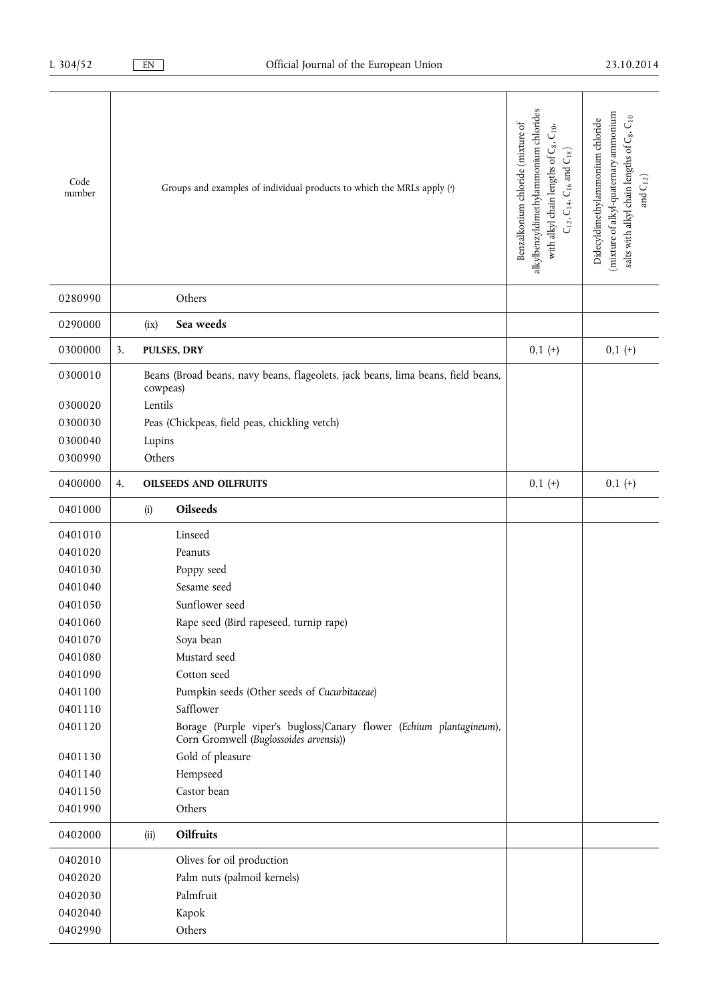| Code<br>number |    | Groups and examples of individual products to which the MRLs apply (a)                                        | alkylbenzyldimethylammonium chlorides<br>Benzalkonium chloride (mixture of<br>with alkyl chain lengths of C <sub>8</sub> , C <sub>10</sub> ,<br>$\mathsf{C}_{12},\mathsf{C}_{14},\mathsf{C}_{16}$ and $\mathsf{C}_{18})$ | (mixture of alkyl-quaternary ammonium<br>salts with alkyl chain lengths of C <sub>8</sub> , C <sub>10</sub><br>Didecyldimethylammonium chloride<br>and $C_{12}$ ) |
|----------------|----|---------------------------------------------------------------------------------------------------------------|--------------------------------------------------------------------------------------------------------------------------------------------------------------------------------------------------------------------------|-------------------------------------------------------------------------------------------------------------------------------------------------------------------|
| 0280990        |    | Others                                                                                                        |                                                                                                                                                                                                                          |                                                                                                                                                                   |
| 0290000        |    | Sea weeds<br>(ix)                                                                                             |                                                                                                                                                                                                                          |                                                                                                                                                                   |
| 0300000        | 3. | PULSES, DRY                                                                                                   | $0,1 (+)$                                                                                                                                                                                                                | $0,1 (+)$                                                                                                                                                         |
| 0300010        |    | Beans (Broad beans, navy beans, flageolets, jack beans, lima beans, field beans,<br>cowpeas)                  |                                                                                                                                                                                                                          |                                                                                                                                                                   |
| 0300020        |    | Lentils                                                                                                       |                                                                                                                                                                                                                          |                                                                                                                                                                   |
| 0300030        |    | Peas (Chickpeas, field peas, chickling vetch)                                                                 |                                                                                                                                                                                                                          |                                                                                                                                                                   |
| 0300040        |    | Lupins                                                                                                        |                                                                                                                                                                                                                          |                                                                                                                                                                   |
| 0300990        |    | Others                                                                                                        |                                                                                                                                                                                                                          |                                                                                                                                                                   |
| 0400000        | 4. | <b>OILSEEDS AND OILFRUITS</b>                                                                                 | $0,1 (+)$                                                                                                                                                                                                                | $0,1 (+)$                                                                                                                                                         |
| 0401000        |    | Oilseeds<br>(i)                                                                                               |                                                                                                                                                                                                                          |                                                                                                                                                                   |
| 0401010        |    | Linseed                                                                                                       |                                                                                                                                                                                                                          |                                                                                                                                                                   |
| 0401020        |    | Peanuts                                                                                                       |                                                                                                                                                                                                                          |                                                                                                                                                                   |
| 0401030        |    | Poppy seed                                                                                                    |                                                                                                                                                                                                                          |                                                                                                                                                                   |
| 0401040        |    | Sesame seed                                                                                                   |                                                                                                                                                                                                                          |                                                                                                                                                                   |
| 0401050        |    | Sunflower seed                                                                                                |                                                                                                                                                                                                                          |                                                                                                                                                                   |
| 0401060        |    | Rape seed (Bird rapeseed, turnip rape)                                                                        |                                                                                                                                                                                                                          |                                                                                                                                                                   |
| 0401070        |    | Soya bean                                                                                                     |                                                                                                                                                                                                                          |                                                                                                                                                                   |
| 0401080        |    | Mustard seed                                                                                                  |                                                                                                                                                                                                                          |                                                                                                                                                                   |
| 0401090        |    | Cotton seed                                                                                                   |                                                                                                                                                                                                                          |                                                                                                                                                                   |
| 0401100        |    | Pumpkin seeds (Other seeds of Cucurbitaceae)                                                                  |                                                                                                                                                                                                                          |                                                                                                                                                                   |
| 0401110        |    | Safflower                                                                                                     |                                                                                                                                                                                                                          |                                                                                                                                                                   |
| 0401120        |    | Borage (Purple viper's bugloss/Canary flower (Echium plantagineum),<br>Corn Gromwell (Buglossoides arvensis)) |                                                                                                                                                                                                                          |                                                                                                                                                                   |
| 0401130        |    | Gold of pleasure                                                                                              |                                                                                                                                                                                                                          |                                                                                                                                                                   |
| 0401140        |    | Hempseed                                                                                                      |                                                                                                                                                                                                                          |                                                                                                                                                                   |
| 0401150        |    | Castor bean                                                                                                   |                                                                                                                                                                                                                          |                                                                                                                                                                   |
| 0401990        |    | Others                                                                                                        |                                                                                                                                                                                                                          |                                                                                                                                                                   |
| 0402000        |    | Oilfruits<br>(ii)                                                                                             |                                                                                                                                                                                                                          |                                                                                                                                                                   |
| 0402010        |    | Olives for oil production                                                                                     |                                                                                                                                                                                                                          |                                                                                                                                                                   |
| 0402020        |    | Palm nuts (palmoil kernels)                                                                                   |                                                                                                                                                                                                                          |                                                                                                                                                                   |
| 0402030        |    | Palmfruit                                                                                                     |                                                                                                                                                                                                                          |                                                                                                                                                                   |
| 0402040        |    | Kapok                                                                                                         |                                                                                                                                                                                                                          |                                                                                                                                                                   |
| 0402990        |    | Others                                                                                                        |                                                                                                                                                                                                                          |                                                                                                                                                                   |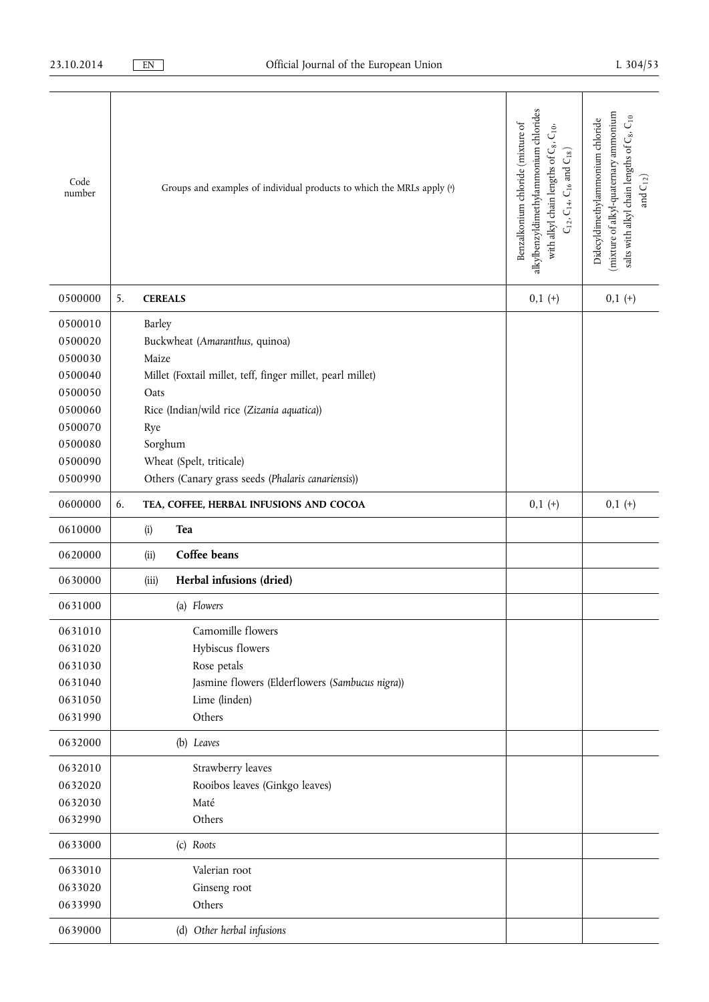| Code<br>number |    |                | Groups and examples of individual products to which the MRLs apply (a) | alkylbenzyldimethylammonium chlorides<br>Benzalkonium chloride (mixture of<br>$C_{10}$ .<br>with alkyl chain lengths of C8,<br>$C_{12}$ , $C_{14}$ , $C_{16}$ and $C_{18}$ ) | (mixture of alkyl-quatemary ammonium<br>salts with alkyl chain lengths of C <sub>8</sub> , C <sub>10</sub><br>Didecyldimethylammonium chloride<br>and $\mathcal{C}_{12})$ |
|----------------|----|----------------|------------------------------------------------------------------------|------------------------------------------------------------------------------------------------------------------------------------------------------------------------------|---------------------------------------------------------------------------------------------------------------------------------------------------------------------------|
| 0500000        | 5. | <b>CEREALS</b> |                                                                        | $0,1 (+)$                                                                                                                                                                    | $0,1 (+)$                                                                                                                                                                 |
| 0500010        |    | Barley         |                                                                        |                                                                                                                                                                              |                                                                                                                                                                           |
| 0500020        |    |                | Buckwheat (Amaranthus, quinoa)                                         |                                                                                                                                                                              |                                                                                                                                                                           |
| 0500030        |    | Maize          |                                                                        |                                                                                                                                                                              |                                                                                                                                                                           |
| 0500040        |    |                | Millet (Foxtail millet, teff, finger millet, pearl millet)             |                                                                                                                                                                              |                                                                                                                                                                           |
| 0500050        |    | Oats           |                                                                        |                                                                                                                                                                              |                                                                                                                                                                           |
| 0500060        |    |                | Rice (Indian/wild rice (Zizania aquatica))                             |                                                                                                                                                                              |                                                                                                                                                                           |
| 0500070        |    | Rye            |                                                                        |                                                                                                                                                                              |                                                                                                                                                                           |
| 0500080        |    | Sorghum        |                                                                        |                                                                                                                                                                              |                                                                                                                                                                           |
| 0500090        |    |                | Wheat (Spelt, triticale)                                               |                                                                                                                                                                              |                                                                                                                                                                           |
| 0500990        |    |                | Others (Canary grass seeds (Phalaris canariensis))                     |                                                                                                                                                                              |                                                                                                                                                                           |
| 0600000        | 6. |                | TEA, COFFEE, HERBAL INFUSIONS AND COCOA                                | $0,1 (+)$                                                                                                                                                                    | $0,1 (+)$                                                                                                                                                                 |
| 0610000        |    | (i)            | Tea                                                                    |                                                                                                                                                                              |                                                                                                                                                                           |
| 0620000        |    | (ii)           | Coffee beans                                                           |                                                                                                                                                                              |                                                                                                                                                                           |
| 0630000        |    | (iii)          | Herbal infusions (dried)                                               |                                                                                                                                                                              |                                                                                                                                                                           |
| 0631000        |    |                | (a) Flowers                                                            |                                                                                                                                                                              |                                                                                                                                                                           |
| 0631010        |    |                | Camomille flowers                                                      |                                                                                                                                                                              |                                                                                                                                                                           |
| 0631020        |    |                | Hybiscus flowers                                                       |                                                                                                                                                                              |                                                                                                                                                                           |
| 0631030        |    |                | Rose petals                                                            |                                                                                                                                                                              |                                                                                                                                                                           |
| 0631040        |    |                | Jasmine flowers (Elderflowers (Sambucus nigra))                        |                                                                                                                                                                              |                                                                                                                                                                           |
| 0631050        |    |                | Lime (linden)                                                          |                                                                                                                                                                              |                                                                                                                                                                           |
| 0631990        |    |                | Others                                                                 |                                                                                                                                                                              |                                                                                                                                                                           |
| 0632000        |    |                | (b) Leaves                                                             |                                                                                                                                                                              |                                                                                                                                                                           |
| 0632010        |    |                | Strawberry leaves                                                      |                                                                                                                                                                              |                                                                                                                                                                           |
| 0632020        |    |                | Rooibos leaves (Ginkgo leaves)                                         |                                                                                                                                                                              |                                                                                                                                                                           |
| 0632030        |    |                | Maté                                                                   |                                                                                                                                                                              |                                                                                                                                                                           |
| 0632990        |    |                | Others                                                                 |                                                                                                                                                                              |                                                                                                                                                                           |
| 0633000        |    |                | (c) Roots                                                              |                                                                                                                                                                              |                                                                                                                                                                           |
| 0633010        |    |                | Valerian root                                                          |                                                                                                                                                                              |                                                                                                                                                                           |
| 0633020        |    |                | Ginseng root                                                           |                                                                                                                                                                              |                                                                                                                                                                           |
| 0633990        |    |                | Others                                                                 |                                                                                                                                                                              |                                                                                                                                                                           |
| 0639000        |    |                | (d) Other herbal infusions                                             |                                                                                                                                                                              |                                                                                                                                                                           |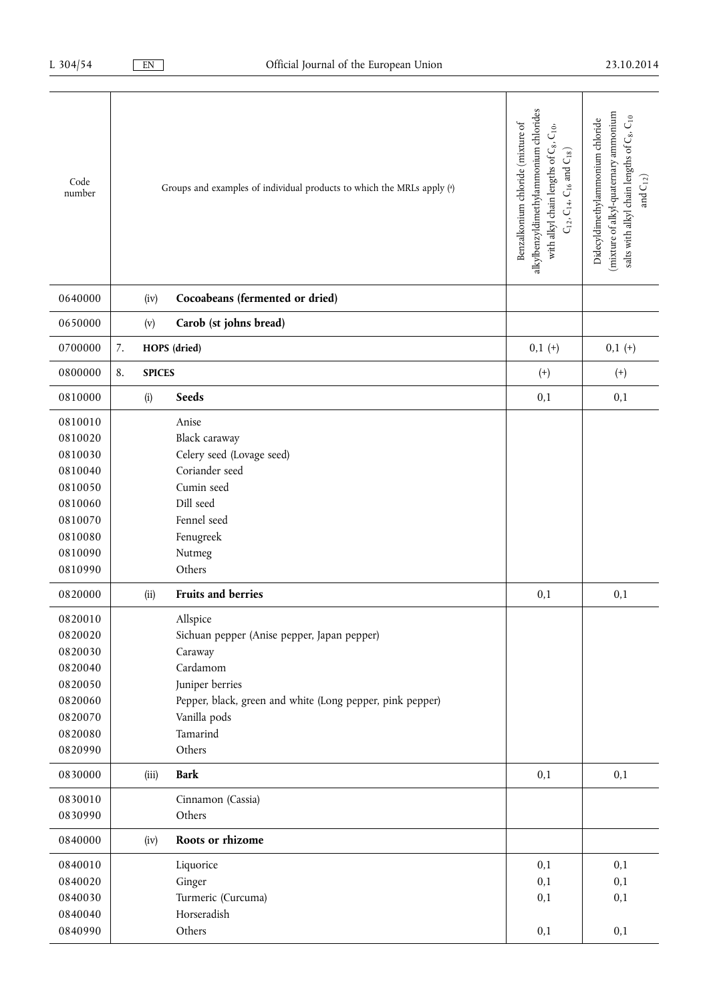| Code<br>number |    |               | Groups and examples of individual products to which the MRLs apply (a) | alkylbenzyldimethylammonium chlorides<br>Benzalkonium chloride (mixture of<br>$\mathsf{C}_{10},$<br>with alkyl chain lengths of C <sub>8</sub> ,<br>$C_{12}$ , $C_{14}$ , $C_{16}$ and $C_{18}$ ) | mixture of alkyl-quaternary ammonium<br>salts with alkyl chain lengths of C <sub>8</sub> , C <sub>10</sub><br>Didecyldimethylammonium chloride<br>and $\mathrm{C}_{12})$ |
|----------------|----|---------------|------------------------------------------------------------------------|---------------------------------------------------------------------------------------------------------------------------------------------------------------------------------------------------|--------------------------------------------------------------------------------------------------------------------------------------------------------------------------|
| 0640000        |    | (iv)          | Cocoabeans (fermented or dried)                                        |                                                                                                                                                                                                   |                                                                                                                                                                          |
| 0650000        |    | (v)           | Carob (st johns bread)                                                 |                                                                                                                                                                                                   |                                                                                                                                                                          |
| 0700000        | 7. |               | HOPS (dried)                                                           | $0,1 (+)$                                                                                                                                                                                         | $0,1 (+)$                                                                                                                                                                |
| 0800000        | 8. | <b>SPICES</b> |                                                                        | $^{(+)}$                                                                                                                                                                                          | $^{(+)}$                                                                                                                                                                 |
| 0810000        |    | (i)           | Seeds                                                                  | 0,1                                                                                                                                                                                               | 0,1                                                                                                                                                                      |
| 0810010        |    |               | Anise                                                                  |                                                                                                                                                                                                   |                                                                                                                                                                          |
| 0810020        |    |               | Black caraway                                                          |                                                                                                                                                                                                   |                                                                                                                                                                          |
| 0810030        |    |               | Celery seed (Lovage seed)                                              |                                                                                                                                                                                                   |                                                                                                                                                                          |
| 0810040        |    |               | Coriander seed                                                         |                                                                                                                                                                                                   |                                                                                                                                                                          |
| 0810050        |    |               | Cumin seed                                                             |                                                                                                                                                                                                   |                                                                                                                                                                          |
| 0810060        |    |               | Dill seed                                                              |                                                                                                                                                                                                   |                                                                                                                                                                          |
| 0810070        |    |               | Fennel seed                                                            |                                                                                                                                                                                                   |                                                                                                                                                                          |
| 0810080        |    |               | Fenugreek                                                              |                                                                                                                                                                                                   |                                                                                                                                                                          |
| 0810090        |    |               | Nutmeg                                                                 |                                                                                                                                                                                                   |                                                                                                                                                                          |
| 0810990        |    |               | Others                                                                 |                                                                                                                                                                                                   |                                                                                                                                                                          |
| 0820000        |    |               | Fruits and berries                                                     | 0,1                                                                                                                                                                                               | 0,1                                                                                                                                                                      |
|                |    | (ii)          |                                                                        |                                                                                                                                                                                                   |                                                                                                                                                                          |
| 0820010        |    |               | Allspice                                                               |                                                                                                                                                                                                   |                                                                                                                                                                          |
| 0820020        |    |               | Sichuan pepper (Anise pepper, Japan pepper)                            |                                                                                                                                                                                                   |                                                                                                                                                                          |
| 0820030        |    |               | Caraway                                                                |                                                                                                                                                                                                   |                                                                                                                                                                          |
| 0820040        |    |               | Cardamom                                                               |                                                                                                                                                                                                   |                                                                                                                                                                          |
| 0820050        |    |               | Juniper berries                                                        |                                                                                                                                                                                                   |                                                                                                                                                                          |
| 0820060        |    |               | Pepper, black, green and white (Long pepper, pink pepper)              |                                                                                                                                                                                                   |                                                                                                                                                                          |
| 0820070        |    |               | Vanilla pods                                                           |                                                                                                                                                                                                   |                                                                                                                                                                          |
| 0820080        |    |               | Tamarind                                                               |                                                                                                                                                                                                   |                                                                                                                                                                          |
| 0820990        |    |               | Others                                                                 |                                                                                                                                                                                                   |                                                                                                                                                                          |
| 0830000        |    | (iii)         | <b>Bark</b>                                                            | 0,1                                                                                                                                                                                               | 0,1                                                                                                                                                                      |
| 0830010        |    |               | Cinnamon (Cassia)                                                      |                                                                                                                                                                                                   |                                                                                                                                                                          |
| 0830990        |    |               | Others                                                                 |                                                                                                                                                                                                   |                                                                                                                                                                          |
| 0840000        |    | (iv)          | Roots or rhizome                                                       |                                                                                                                                                                                                   |                                                                                                                                                                          |
| 0840010        |    |               | Liquorice                                                              | 0,1                                                                                                                                                                                               | 0,1                                                                                                                                                                      |
| 0840020        |    |               | Ginger                                                                 | 0,1                                                                                                                                                                                               | 0,1                                                                                                                                                                      |
| 0840030        |    |               | Turmeric (Curcuma)                                                     | 0,1                                                                                                                                                                                               | 0,1                                                                                                                                                                      |
| 0840040        |    |               | Horseradish                                                            |                                                                                                                                                                                                   |                                                                                                                                                                          |
| 0840990        |    |               | Others                                                                 | 0,1                                                                                                                                                                                               | 0,1                                                                                                                                                                      |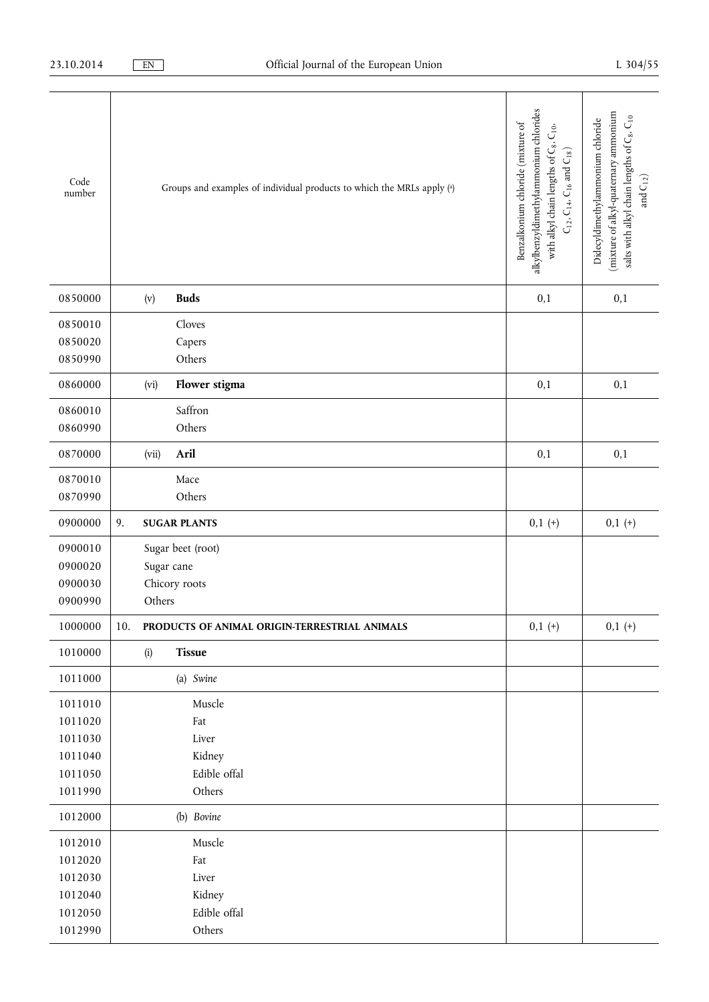| Code<br>number | Groups and examples of individual products to which the MRLs apply (a) | alkylbenzyldimethylammonium chlorides<br>Benzalkonium chloride (mixture of<br>with alkyl chain lengths of C <sub>8</sub> , C <sub>10</sub> ,<br>$\mathsf{C}_{12},\mathsf{C}_{14},\mathsf{C}_{16}$ and $\mathsf{C}_{18})$ | (mixture of alkyl-quaternary ammonium<br>salts with alkyl chain lengths of C <sub>8</sub> , C <sub>10</sub><br>Didecyldimethylammonium chloride<br>and $\mathrm{C}_{12})$ |
|----------------|------------------------------------------------------------------------|--------------------------------------------------------------------------------------------------------------------------------------------------------------------------------------------------------------------------|---------------------------------------------------------------------------------------------------------------------------------------------------------------------------|
| 0850000        | <b>Buds</b><br>(v)                                                     | 0,1                                                                                                                                                                                                                      | 0,1                                                                                                                                                                       |
| 0850010        | Cloves                                                                 |                                                                                                                                                                                                                          |                                                                                                                                                                           |
| 0850020        | Capers                                                                 |                                                                                                                                                                                                                          |                                                                                                                                                                           |
| 0850990        | Others                                                                 |                                                                                                                                                                                                                          |                                                                                                                                                                           |
| 0860000        | Flower stigma<br>(vi)                                                  | 0,1                                                                                                                                                                                                                      | 0,1                                                                                                                                                                       |
| 0860010        | Saffron                                                                |                                                                                                                                                                                                                          |                                                                                                                                                                           |
| 0860990        | Others                                                                 |                                                                                                                                                                                                                          |                                                                                                                                                                           |
| 0870000        | Aril<br>(vii)                                                          | 0,1                                                                                                                                                                                                                      | 0,1                                                                                                                                                                       |
| 0870010        | Mace                                                                   |                                                                                                                                                                                                                          |                                                                                                                                                                           |
| 0870990        | Others                                                                 |                                                                                                                                                                                                                          |                                                                                                                                                                           |
| 0900000        | 9.<br><b>SUGAR PLANTS</b>                                              | $0,1(+)$                                                                                                                                                                                                                 | $0,1(+)$                                                                                                                                                                  |
| 0900010        | Sugar beet (root)                                                      |                                                                                                                                                                                                                          |                                                                                                                                                                           |
| 0900020        | Sugar cane                                                             |                                                                                                                                                                                                                          |                                                                                                                                                                           |
| 0900030        | Chicory roots                                                          |                                                                                                                                                                                                                          |                                                                                                                                                                           |
| 0900990        | Others                                                                 |                                                                                                                                                                                                                          |                                                                                                                                                                           |
| 1000000        | 10.<br>PRODUCTS OF ANIMAL ORIGIN-TERRESTRIAL ANIMALS                   | $0,1(+)$                                                                                                                                                                                                                 | $0,1(+)$                                                                                                                                                                  |
| 1010000        | Tissue<br>(i)                                                          |                                                                                                                                                                                                                          |                                                                                                                                                                           |
| 1011000        | (a) Swine                                                              |                                                                                                                                                                                                                          |                                                                                                                                                                           |
| 1011010        | Muscle                                                                 |                                                                                                                                                                                                                          |                                                                                                                                                                           |
| 1011020        | Fat                                                                    |                                                                                                                                                                                                                          |                                                                                                                                                                           |
| 1011030        | Liver                                                                  |                                                                                                                                                                                                                          |                                                                                                                                                                           |
| 1011040        | Kidney                                                                 |                                                                                                                                                                                                                          |                                                                                                                                                                           |
| 1011050        | Edible offal                                                           |                                                                                                                                                                                                                          |                                                                                                                                                                           |
| 1011990        | Others                                                                 |                                                                                                                                                                                                                          |                                                                                                                                                                           |
| 1012000        | (b) Bovine                                                             |                                                                                                                                                                                                                          |                                                                                                                                                                           |
| 1012010        | Muscle                                                                 |                                                                                                                                                                                                                          |                                                                                                                                                                           |
| 1012020        | Fat                                                                    |                                                                                                                                                                                                                          |                                                                                                                                                                           |
| 1012030        | Liver                                                                  |                                                                                                                                                                                                                          |                                                                                                                                                                           |
| 1012040        | Kidney                                                                 |                                                                                                                                                                                                                          |                                                                                                                                                                           |
| 1012050        | Edible offal                                                           |                                                                                                                                                                                                                          |                                                                                                                                                                           |
| 1012990        | Others                                                                 |                                                                                                                                                                                                                          |                                                                                                                                                                           |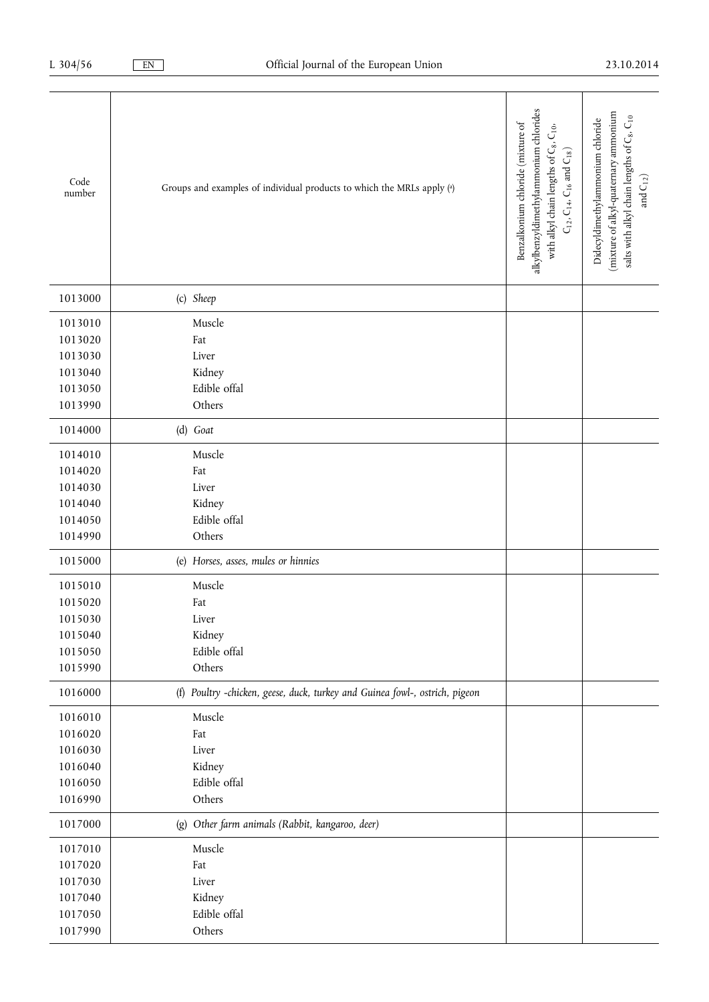| Code<br>number | Groups and examples of individual products to which the MRLs apply (a)      | alkylbenzyldimethylammonium chlorides<br>Benzalkonium chloride (mixture of<br>$\mathsf{C}_{10},$<br>with alkyl chain lengths of C <sub>8</sub> ,<br>$C_{12}$ , $C_{14}$ , $C_{16}$ and $C_{18}$ ) | (mixture of alkyl-quatemary ammonium<br>salts with alkyl chain lengths of C <sub>8</sub> , C <sub>10</sub><br>Didecyldimethylammonium chloride<br>and $C_{12}$ ) |
|----------------|-----------------------------------------------------------------------------|---------------------------------------------------------------------------------------------------------------------------------------------------------------------------------------------------|------------------------------------------------------------------------------------------------------------------------------------------------------------------|
| 1013000        | (c) Sheep                                                                   |                                                                                                                                                                                                   |                                                                                                                                                                  |
| 1013010        | Muscle                                                                      |                                                                                                                                                                                                   |                                                                                                                                                                  |
| 1013020        | Fat                                                                         |                                                                                                                                                                                                   |                                                                                                                                                                  |
| 1013030        | Liver                                                                       |                                                                                                                                                                                                   |                                                                                                                                                                  |
| 1013040        | Kidney                                                                      |                                                                                                                                                                                                   |                                                                                                                                                                  |
| 1013050        | Edible offal                                                                |                                                                                                                                                                                                   |                                                                                                                                                                  |
| 1013990        | Others                                                                      |                                                                                                                                                                                                   |                                                                                                                                                                  |
| 1014000        | (d) Goat                                                                    |                                                                                                                                                                                                   |                                                                                                                                                                  |
| 1014010        | Muscle                                                                      |                                                                                                                                                                                                   |                                                                                                                                                                  |
| 1014020        | Fat                                                                         |                                                                                                                                                                                                   |                                                                                                                                                                  |
| 1014030        | Liver                                                                       |                                                                                                                                                                                                   |                                                                                                                                                                  |
| 1014040        | Kidney                                                                      |                                                                                                                                                                                                   |                                                                                                                                                                  |
| 1014050        | Edible offal                                                                |                                                                                                                                                                                                   |                                                                                                                                                                  |
| 1014990        | Others                                                                      |                                                                                                                                                                                                   |                                                                                                                                                                  |
| 1015000        | (e) Horses, asses, mules or hinnies                                         |                                                                                                                                                                                                   |                                                                                                                                                                  |
| 1015010        | Muscle                                                                      |                                                                                                                                                                                                   |                                                                                                                                                                  |
| 1015020        | Fat                                                                         |                                                                                                                                                                                                   |                                                                                                                                                                  |
| 1015030        | Liver                                                                       |                                                                                                                                                                                                   |                                                                                                                                                                  |
| 1015040        | Kidney                                                                      |                                                                                                                                                                                                   |                                                                                                                                                                  |
| 1015050        | Edible offal                                                                |                                                                                                                                                                                                   |                                                                                                                                                                  |
| 1015990        | Others                                                                      |                                                                                                                                                                                                   |                                                                                                                                                                  |
| 1016000        | (f) Poultry -chicken, geese, duck, turkey and Guinea fowl-, ostrich, pigeon |                                                                                                                                                                                                   |                                                                                                                                                                  |
| 1016010        | Muscle                                                                      |                                                                                                                                                                                                   |                                                                                                                                                                  |
| 1016020        | Fat                                                                         |                                                                                                                                                                                                   |                                                                                                                                                                  |
| 1016030        | Liver                                                                       |                                                                                                                                                                                                   |                                                                                                                                                                  |
| 1016040        | Kidney                                                                      |                                                                                                                                                                                                   |                                                                                                                                                                  |
| 1016050        | Edible offal                                                                |                                                                                                                                                                                                   |                                                                                                                                                                  |
| 1016990        | Others                                                                      |                                                                                                                                                                                                   |                                                                                                                                                                  |
| 1017000        | Other farm animals (Rabbit, kangaroo, deer)<br>(g)                          |                                                                                                                                                                                                   |                                                                                                                                                                  |
| 1017010        | Muscle                                                                      |                                                                                                                                                                                                   |                                                                                                                                                                  |
| 1017020        | Fat                                                                         |                                                                                                                                                                                                   |                                                                                                                                                                  |
| 1017030        | Liver                                                                       |                                                                                                                                                                                                   |                                                                                                                                                                  |
| 1017040        | Kidney                                                                      |                                                                                                                                                                                                   |                                                                                                                                                                  |
| 1017050        | Edible offal                                                                |                                                                                                                                                                                                   |                                                                                                                                                                  |
| 1017990        | Others                                                                      |                                                                                                                                                                                                   |                                                                                                                                                                  |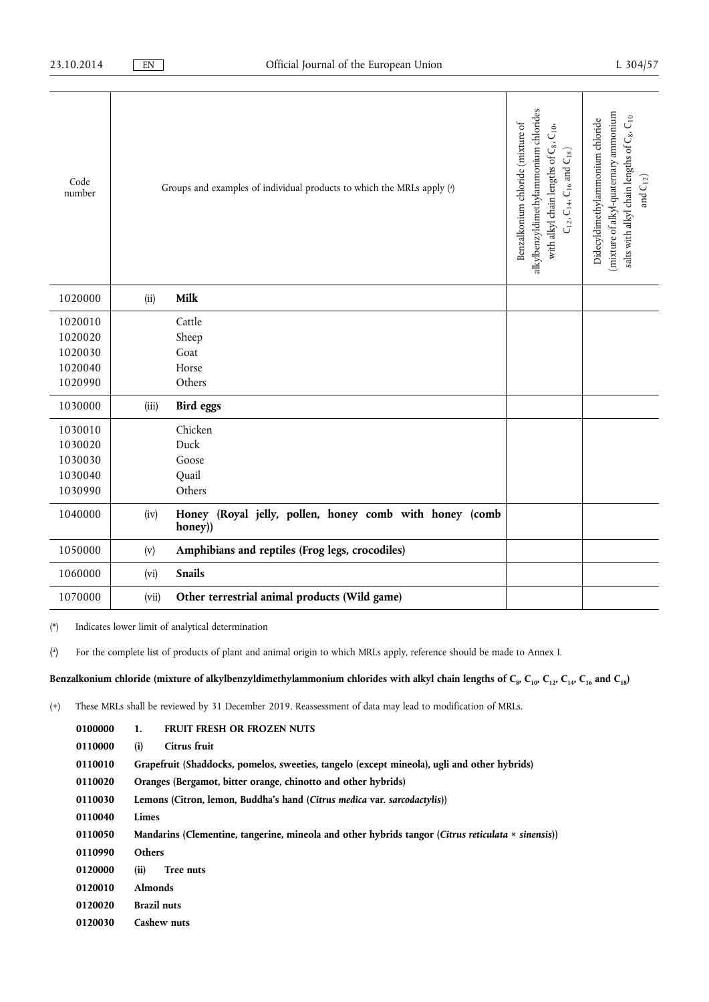| Code<br>number |       | Groups and examples of individual products to which the MRLs apply (a) | alkylbenzyldimethylammonium chlorides<br>Benzalkonium chloride (mixture of<br>$C_{10},\,$<br>$C_{12}$ , $C_{14}$ , $C_{16}$ and $C_{18}$ ) | (mixture of alkyl-quatemary ammonium<br>salts with alkyl chain lengths of C <sub>8</sub> , C <sub>10</sub><br>Didecyldimethylammonium chloride<br>and $\mathcal{C}_{12})$ |
|----------------|-------|------------------------------------------------------------------------|--------------------------------------------------------------------------------------------------------------------------------------------|---------------------------------------------------------------------------------------------------------------------------------------------------------------------------|
|                |       |                                                                        | with alkyl chain lengths of C <sub>8</sub> ,                                                                                               |                                                                                                                                                                           |
| 1020000        | (ii)  | Milk                                                                   |                                                                                                                                            |                                                                                                                                                                           |
| 1020010        |       | Cattle                                                                 |                                                                                                                                            |                                                                                                                                                                           |
| 1020020        |       | Sheep                                                                  |                                                                                                                                            |                                                                                                                                                                           |
| 1020030        |       | Goat                                                                   |                                                                                                                                            |                                                                                                                                                                           |
| 1020040        |       | Horse                                                                  |                                                                                                                                            |                                                                                                                                                                           |
| 1020990        |       | Others                                                                 |                                                                                                                                            |                                                                                                                                                                           |
| 1030000        | (iii) | Bird eggs                                                              |                                                                                                                                            |                                                                                                                                                                           |
| 1030010        |       | Chicken                                                                |                                                                                                                                            |                                                                                                                                                                           |
| 1030020        |       | Duck                                                                   |                                                                                                                                            |                                                                                                                                                                           |
| 1030030        |       | Goose                                                                  |                                                                                                                                            |                                                                                                                                                                           |
| 1030040        |       | Quail                                                                  |                                                                                                                                            |                                                                                                                                                                           |
| 1030990        |       | Others                                                                 |                                                                                                                                            |                                                                                                                                                                           |
| 1040000        | (iv)  | Honey (Royal jelly, pollen, honey comb with honey (comb<br>$honey)$ )  |                                                                                                                                            |                                                                                                                                                                           |
| 1050000        | (v)   | Amphibians and reptiles (Frog legs, crocodiles)                        |                                                                                                                                            |                                                                                                                                                                           |
| 1060000        | (vi)  | <b>Snails</b>                                                          |                                                                                                                                            |                                                                                                                                                                           |
| 1070000        | (vii) | Other terrestrial animal products (Wild game)                          |                                                                                                                                            |                                                                                                                                                                           |

(\*) Indicates lower limit of analytical determination

( a ) For the complete list of products of plant and animal origin to which MRLs apply, reference should be made to Annex I.

Benzalkonium chloride (mixture of alkylbenzyldimethylammonium chlorides with alkyl chain lengths of C<sub>8</sub>, C<sub>10</sub>, C<sub>12</sub>, C<sub>14</sub>, C<sub>16</sub> and C<sub>18</sub>)

| 0100000 | 1.                                                                                                        | <b>FRUIT FRESH OR FROZEN NUTS</b> |  |
|---------|-----------------------------------------------------------------------------------------------------------|-----------------------------------|--|
| 0110000 | (i)                                                                                                       | Citrus fruit                      |  |
| 0110010 | Grapefruit (Shaddocks, pomelos, sweeties, tangelo (except mineola), ugli and other hybrids)               |                                   |  |
| 0110020 | Oranges (Bergamot, bitter orange, chinotto and other hybrids)                                             |                                   |  |
| 0110030 | Lemons (Citron, lemon, Buddha's hand (Citrus medica var. sarcodactylis))                                  |                                   |  |
| 0110040 | Limes                                                                                                     |                                   |  |
| 0110050 | Mandarins (Clementine, tangerine, mineola and other hybrids tangor (Citrus reticulata $\times$ sinensis)) |                                   |  |
| 0110990 | <b>Others</b>                                                                                             |                                   |  |
| 0120000 | (ii)                                                                                                      | Tree nuts                         |  |
| 0120010 | <b>Almonds</b>                                                                                            |                                   |  |
| 0120020 | <b>Brazil nuts</b>                                                                                        |                                   |  |
| 0120030 | Cashew nuts                                                                                               |                                   |  |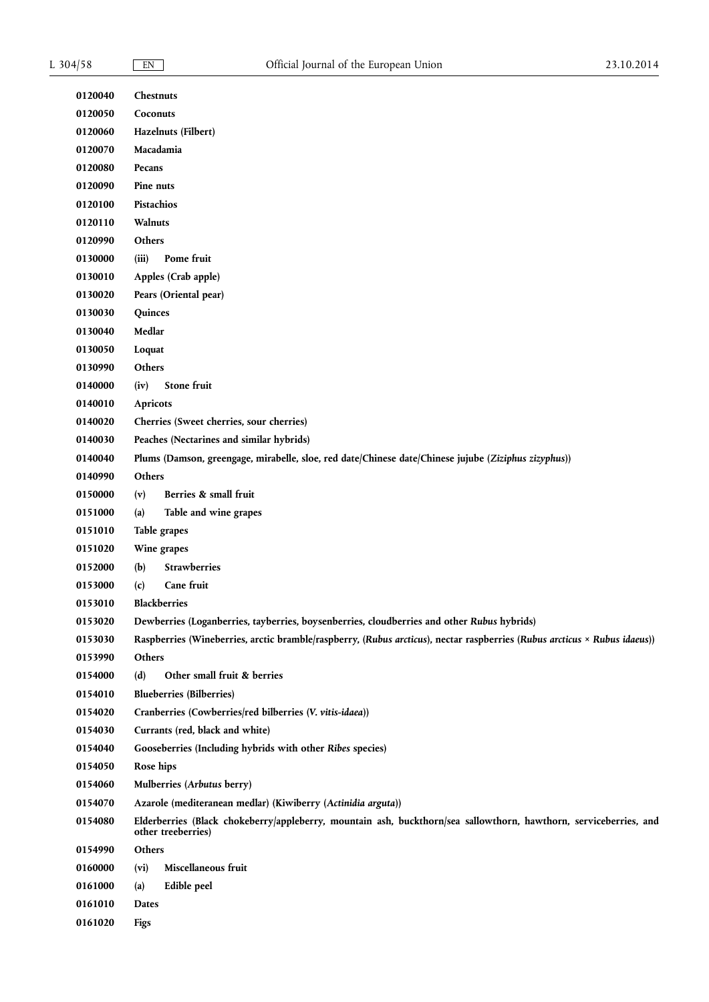| 0120040 | Chestnuts                                                                                                                               |  |  |
|---------|-----------------------------------------------------------------------------------------------------------------------------------------|--|--|
| 0120050 | Coconuts                                                                                                                                |  |  |
| 0120060 | Hazelnuts (Filbert)                                                                                                                     |  |  |
| 0120070 | Macadamia                                                                                                                               |  |  |
| 0120080 | Pecans                                                                                                                                  |  |  |
| 0120090 | Pine nuts                                                                                                                               |  |  |
| 0120100 | Pistachios                                                                                                                              |  |  |
| 0120110 | Walnuts                                                                                                                                 |  |  |
| 0120990 | Others                                                                                                                                  |  |  |
| 0130000 | (iii)<br>Pome fruit                                                                                                                     |  |  |
| 0130010 | Apples (Crab apple)                                                                                                                     |  |  |
| 0130020 | Pears (Oriental pear)                                                                                                                   |  |  |
| 0130030 | Quinces                                                                                                                                 |  |  |
| 0130040 | Medlar                                                                                                                                  |  |  |
| 0130050 | Loquat                                                                                                                                  |  |  |
| 0130990 | Others                                                                                                                                  |  |  |
| 0140000 | <b>Stone fruit</b><br>(iv)                                                                                                              |  |  |
| 0140010 | <b>Apricots</b>                                                                                                                         |  |  |
| 0140020 | Cherries (Sweet cherries, sour cherries)                                                                                                |  |  |
| 0140030 | Peaches (Nectarines and similar hybrids)                                                                                                |  |  |
| 0140040 | Plums (Damson, greengage, mirabelle, sloe, red date/Chinese date/Chinese jujube (Ziziphus zizyphus))                                    |  |  |
| 0140990 | Others                                                                                                                                  |  |  |
| 0150000 | (v)<br>Berries & small fruit                                                                                                            |  |  |
| 0151000 | (a)<br>Table and wine grapes                                                                                                            |  |  |
| 0151010 | Table grapes                                                                                                                            |  |  |
| 0151020 | Wine grapes                                                                                                                             |  |  |
| 0152000 | <b>Strawberries</b><br>(b)                                                                                                              |  |  |
| 0153000 | Cane fruit<br>(c)                                                                                                                       |  |  |
| 0153010 | <b>Blackberries</b>                                                                                                                     |  |  |
| 0153020 | Dewberries (Loganberries, tayberries, boysenberries, cloudberries and other Rubus hybrids)                                              |  |  |
| 0153030 |                                                                                                                                         |  |  |
| 0153990 | Raspberries (Wineberries, arctic bramble/raspberry, (Rubus arcticus), nectar raspberries (Rubus arcticus × Rubus idaeus))<br>Others     |  |  |
| 0154000 | (d)<br>Other small fruit & berries                                                                                                      |  |  |
| 0154010 | <b>Blueberries (Bilberries)</b>                                                                                                         |  |  |
| 0154020 | Cranberries (Cowberries/red bilberries (V. vitis-idaea))                                                                                |  |  |
| 0154030 |                                                                                                                                         |  |  |
| 0154040 | Currants (red, black and white)                                                                                                         |  |  |
| 0154050 | Gooseberries (Including hybrids with other Ribes species)<br>Rose hips                                                                  |  |  |
| 0154060 |                                                                                                                                         |  |  |
| 0154070 | Mulberries (Arbutus berry)                                                                                                              |  |  |
|         | Azarole (mediteranean medlar) (Kiwiberry (Actinidia arguta))                                                                            |  |  |
| 0154080 | Elderberries (Black chokeberry/appleberry, mountain ash, buckthorn/sea sallowthorn, hawthorn, serviceberries, and<br>other treeberries) |  |  |
| 0154990 | Others                                                                                                                                  |  |  |
| 0160000 | Miscellaneous fruit<br>(vi)                                                                                                             |  |  |
| 0161000 | Edible peel<br>(a)                                                                                                                      |  |  |
| 0161010 | Dates                                                                                                                                   |  |  |
| 0161020 | <b>Figs</b>                                                                                                                             |  |  |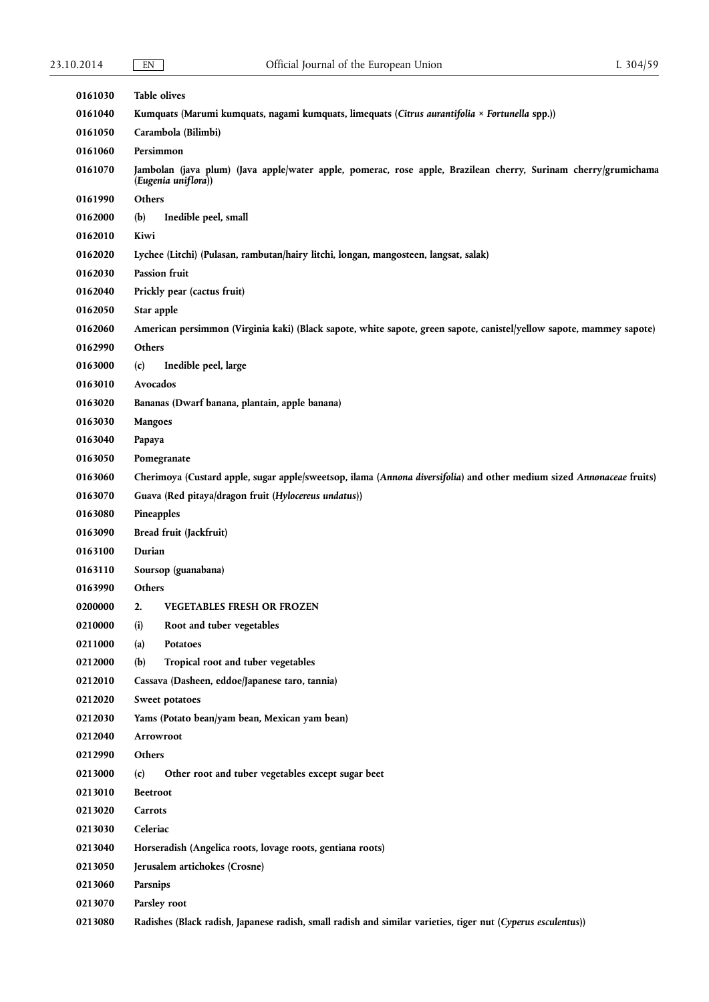| 0161030 | <b>Table olives</b>                                                                                                                   |  |  |
|---------|---------------------------------------------------------------------------------------------------------------------------------------|--|--|
| 0161040 | Kumquats (Marumi kumquats, nagami kumquats, limequats (Citrus aurantifolia × Fortunella spp.))                                        |  |  |
| 0161050 | Carambola (Bilimbi)                                                                                                                   |  |  |
| 0161060 | Persimmon                                                                                                                             |  |  |
| 0161070 | Jambolan (java plum) (Java apple/water apple, pomerac, rose apple, Brazilean cherry, Surinam cherry/grumichama<br>(Eugenia uniflora)) |  |  |
| 0161990 | Others                                                                                                                                |  |  |
| 0162000 | (b)<br>Inedible peel, small                                                                                                           |  |  |
| 0162010 | Kiwi                                                                                                                                  |  |  |
| 0162020 | Lychee (Litchi) (Pulasan, rambutan/hairy litchi, longan, mangosteen, langsat, salak)                                                  |  |  |
| 0162030 | Passion fruit                                                                                                                         |  |  |
| 0162040 | Prickly pear (cactus fruit)                                                                                                           |  |  |
| 0162050 | Star apple                                                                                                                            |  |  |
| 0162060 | American persimmon (Virginia kaki) (Black sapote, white sapote, green sapote, canistel/yellow sapote, mammey sapote)                  |  |  |
| 0162990 | Others                                                                                                                                |  |  |
| 0163000 | Inedible peel, large<br>(c)                                                                                                           |  |  |
| 0163010 | Avocados                                                                                                                              |  |  |
| 0163020 | Bananas (Dwarf banana, plantain, apple banana)                                                                                        |  |  |
| 0163030 | <b>Mangoes</b>                                                                                                                        |  |  |
| 0163040 | Papaya                                                                                                                                |  |  |
| 0163050 | Pomegranate                                                                                                                           |  |  |
| 0163060 | Cherimoya (Custard apple, sugar apple/sweetsop, ilama (Annona diversifolia) and other medium sized Annonaceae fruits)                 |  |  |
| 0163070 | Guava (Red pitaya/dragon fruit (Hylocereus undatus))                                                                                  |  |  |
| 0163080 | Pineapples                                                                                                                            |  |  |
| 0163090 | Bread fruit (Jackfruit)                                                                                                               |  |  |
| 0163100 | Durian                                                                                                                                |  |  |
| 0163110 | Soursop (guanabana)                                                                                                                   |  |  |
| 0163990 | Others                                                                                                                                |  |  |
| 0200000 | <b>VEGETABLES FRESH OR FROZEN</b><br>2.                                                                                               |  |  |
| 0210000 | Root and tuber vegetables<br>(i)                                                                                                      |  |  |
| 0211000 | (a)<br>Potatoes                                                                                                                       |  |  |
| 0212000 | Tropical root and tuber vegetables<br>(b)                                                                                             |  |  |
| 0212010 | Cassava (Dasheen, eddoe/Japanese taro, tannia)                                                                                        |  |  |
| 0212020 | Sweet potatoes                                                                                                                        |  |  |
| 0212030 | Yams (Potato bean/yam bean, Mexican yam bean)                                                                                         |  |  |
| 0212040 | Arrowroot                                                                                                                             |  |  |
| 0212990 | Others                                                                                                                                |  |  |
| 0213000 | Other root and tuber vegetables except sugar beet<br>(c)                                                                              |  |  |
| 0213010 | <b>Beetroot</b>                                                                                                                       |  |  |
| 0213020 | Carrots                                                                                                                               |  |  |
| 0213030 | Celeriac                                                                                                                              |  |  |
| 0213040 | Horseradish (Angelica roots, lovage roots, gentiana roots)                                                                            |  |  |
| 0213050 | Jerusalem artichokes (Crosne)                                                                                                         |  |  |
| 0213060 | Parsnips                                                                                                                              |  |  |
| 0213070 | Parsley root                                                                                                                          |  |  |
| 0213080 | Radishes (Black radish, Japanese radish, small radish and similar varieties, tiger nut (Cyperus esculentus))                          |  |  |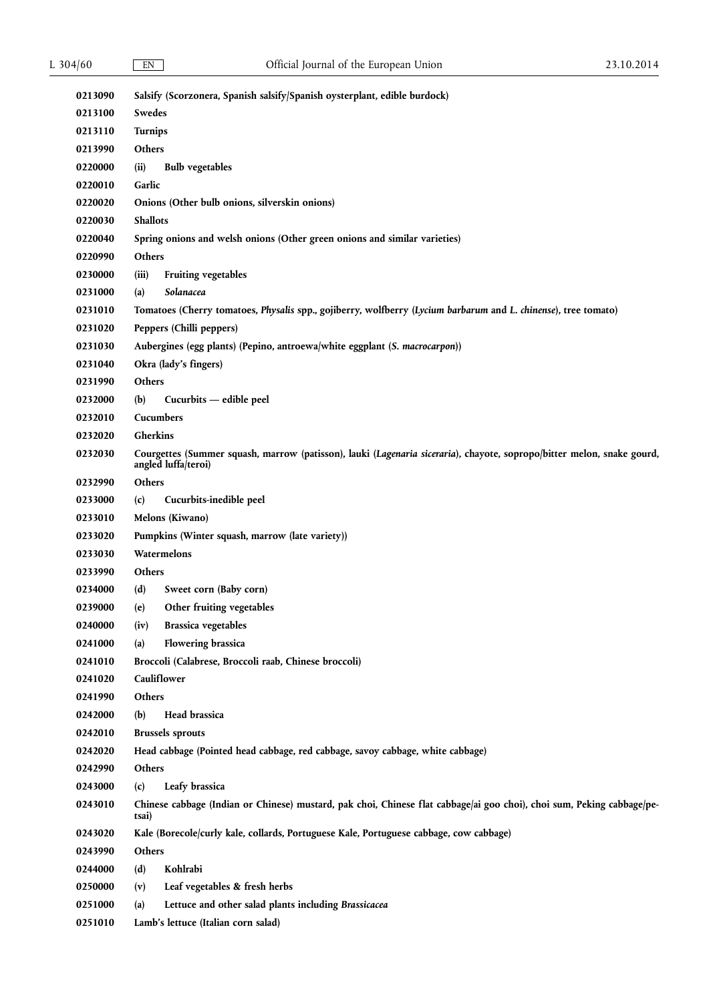| 0213090 |                                                                                                                                               |  |  |  |
|---------|-----------------------------------------------------------------------------------------------------------------------------------------------|--|--|--|
| 0213100 | Salsify (Scorzonera, Spanish salsify/Spanish oysterplant, edible burdock)<br>Swedes                                                           |  |  |  |
| 0213110 | Turnips                                                                                                                                       |  |  |  |
| 0213990 | Others                                                                                                                                        |  |  |  |
| 0220000 | <b>Bulb</b> vegetables<br>(ii)                                                                                                                |  |  |  |
| 0220010 | Garlic                                                                                                                                        |  |  |  |
| 0220020 | Onions (Other bulb onions, silverskin onions)                                                                                                 |  |  |  |
| 0220030 | <b>Shallots</b>                                                                                                                               |  |  |  |
| 0220040 | Spring onions and welsh onions (Other green onions and similar varieties)                                                                     |  |  |  |
| 0220990 | Others                                                                                                                                        |  |  |  |
| 0230000 | (iii)<br>Fruiting vegetables                                                                                                                  |  |  |  |
| 0231000 | Solanacea<br>(a)                                                                                                                              |  |  |  |
| 0231010 | Tomatoes (Cherry tomatoes, Physalis spp., gojiberry, wolfberry (Lycium barbarum and L. chinense), tree tomato)                                |  |  |  |
| 0231020 | Peppers (Chilli peppers)                                                                                                                      |  |  |  |
| 0231030 | Aubergines (egg plants) (Pepino, antroewa/white eggplant (S. macrocarpon))                                                                    |  |  |  |
| 0231040 | Okra (lady's fingers)                                                                                                                         |  |  |  |
| 0231990 | Others                                                                                                                                        |  |  |  |
| 0232000 | Cucurbits - edible peel<br>(b)                                                                                                                |  |  |  |
| 0232010 | Cucumbers                                                                                                                                     |  |  |  |
| 0232020 | Gherkins                                                                                                                                      |  |  |  |
| 0232030 | Courgettes (Summer squash, marrow (patisson), lauki (Lagenaria siceraria), chayote, sopropo/bitter melon, snake gourd,<br>angled luffa/teroi) |  |  |  |
| 0232990 | Others                                                                                                                                        |  |  |  |
| 0233000 | Cucurbits-inedible peel<br>(c)                                                                                                                |  |  |  |
| 0233010 | Melons (Kiwano)                                                                                                                               |  |  |  |
| 0233020 | Pumpkins (Winter squash, marrow (late variety))                                                                                               |  |  |  |
| 0233030 | Watermelons                                                                                                                                   |  |  |  |
| 0233990 | Others                                                                                                                                        |  |  |  |
| 0234000 | (d)<br>Sweet corn (Baby corn)                                                                                                                 |  |  |  |
| 0239000 | (e)<br>Other fruiting vegetables                                                                                                              |  |  |  |
| 0240000 | <b>Brassica vegetables</b><br>(iv)                                                                                                            |  |  |  |
| 0241000 | <b>Flowering brassica</b><br>(a)                                                                                                              |  |  |  |
| 0241010 | Broccoli (Calabrese, Broccoli raab, Chinese broccoli)                                                                                         |  |  |  |
| 0241020 | Cauliflower                                                                                                                                   |  |  |  |
| 0241990 | Others                                                                                                                                        |  |  |  |
| 0242000 | Head brassica<br>(b)                                                                                                                          |  |  |  |
| 0242010 | <b>Brussels sprouts</b>                                                                                                                       |  |  |  |
| 0242020 | Head cabbage (Pointed head cabbage, red cabbage, savoy cabbage, white cabbage)                                                                |  |  |  |
| 0242990 | Others                                                                                                                                        |  |  |  |
| 0243000 | Leafy brassica<br>(c)                                                                                                                         |  |  |  |
| 0243010 | Chinese cabbage (Indian or Chinese) mustard, pak choi, Chinese flat cabbage/ai goo choi), choi sum, Peking cabbage/pe-<br>tsai)               |  |  |  |
| 0243020 | Kale (Borecole/curly kale, collards, Portuguese Kale, Portuguese cabbage, cow cabbage)                                                        |  |  |  |
| 0243990 | Others                                                                                                                                        |  |  |  |
| 0244000 | Kohlrabi<br>(d)                                                                                                                               |  |  |  |
| 0250000 | Leaf vegetables & fresh herbs<br>(v)                                                                                                          |  |  |  |
| 0251000 | Lettuce and other salad plants including Brassicacea<br>(a)                                                                                   |  |  |  |
| 0251010 | Lamb's lettuce (Italian corn salad)                                                                                                           |  |  |  |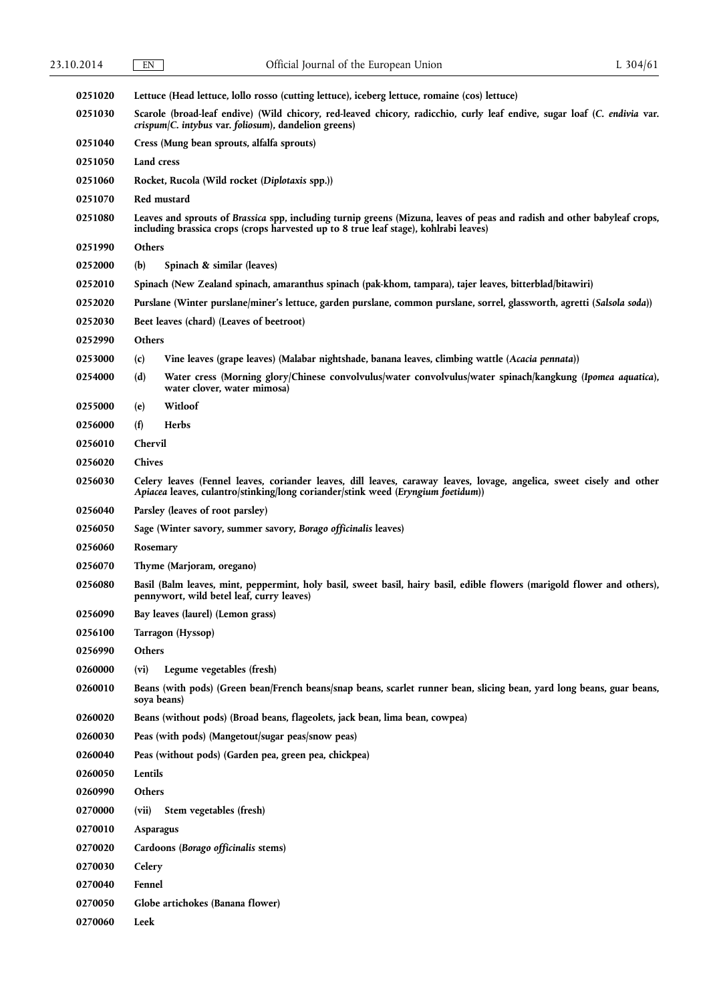| 0251020 | Lettuce (Head lettuce, lollo rosso (cutting lettuce), iceberg lettuce, romaine (cos) lettuce)                                                                                                                    |  |  |
|---------|------------------------------------------------------------------------------------------------------------------------------------------------------------------------------------------------------------------|--|--|
| 0251030 | Scarole (broad-leaf endive) (Wild chicory, red-leaved chicory, radicchio, curly leaf endive, sugar loaf (C. endivia var.<br>crispum/C. intybus var. foliosum), dandelion greens)                                 |  |  |
| 0251040 | Cress (Mung bean sprouts, alfalfa sprouts)                                                                                                                                                                       |  |  |
| 0251050 | Land cress                                                                                                                                                                                                       |  |  |
| 0251060 | Rocket, Rucola (Wild rocket (Diplotaxis spp.))                                                                                                                                                                   |  |  |
| 0251070 | Red mustard                                                                                                                                                                                                      |  |  |
| 0251080 | Leaves and sprouts of Brassica spp, including turnip greens (Mizuna, leaves of peas and radish and other babyleaf crops,<br>including brassica crops (crops harvested up to 8 true leaf stage), kohlrabi leaves) |  |  |
| 0251990 | Others                                                                                                                                                                                                           |  |  |
| 0252000 | (b)<br>Spinach & similar (leaves)                                                                                                                                                                                |  |  |
| 0252010 | Spinach (New Zealand spinach, amaranthus spinach (pak-khom, tampara), tajer leaves, bitterblad/bitawiri)                                                                                                         |  |  |
| 0252020 | Purslane (Winter purslane/miner's lettuce, garden purslane, common purslane, sorrel, glassworth, agretti (Salsola soda))                                                                                         |  |  |
| 0252030 | Beet leaves (chard) (Leaves of beetroot)                                                                                                                                                                         |  |  |
| 0252990 | Others                                                                                                                                                                                                           |  |  |
| 0253000 | Vine leaves (grape leaves) (Malabar nightshade, banana leaves, climbing wattle (Acacia pennata))<br>(c)                                                                                                          |  |  |
| 0254000 | (d)<br>Water cress (Morning glory/Chinese convolvulus/water convolvulus/water spinach/kangkung (Ipomea aquatica),<br>water clover, water mimosa)                                                                 |  |  |
| 0255000 | Witloof<br>(e)                                                                                                                                                                                                   |  |  |
| 0256000 | (f)<br>Herbs                                                                                                                                                                                                     |  |  |
| 0256010 | Chervil                                                                                                                                                                                                          |  |  |
| 0256020 | Chives                                                                                                                                                                                                           |  |  |
| 0256030 | Celery leaves (Fennel leaves, coriander leaves, dill leaves, caraway leaves, lovage, angelica, sweet cisely and other<br>Apiacea leaves, culantro/stinking/long coriander/stink weed (Eryngium foetidum))        |  |  |
| 0256040 | Parsley (leaves of root parsley)                                                                                                                                                                                 |  |  |
| 0256050 | Sage (Winter savory, summer savory, Borago officinalis leaves)                                                                                                                                                   |  |  |
| 0256060 | Rosemary                                                                                                                                                                                                         |  |  |
| 0256070 | Thyme (Marjoram, oregano)                                                                                                                                                                                        |  |  |
| 0256080 | Basil (Balm leaves, mint, peppermint, holy basil, sweet basil, hairy basil, edible flowers (marigold flower and others),<br>pennywort, wild betel leaf, curry leaves)                                            |  |  |
| 0256090 | Bay leaves (laurel) (Lemon grass)                                                                                                                                                                                |  |  |
| 0256100 | Tarragon (Hyssop)                                                                                                                                                                                                |  |  |
| 0256990 | Others                                                                                                                                                                                                           |  |  |
| 0260000 | Legume vegetables (fresh)<br>(vi)                                                                                                                                                                                |  |  |
| 0260010 | Beans (with pods) (Green bean/French beans/snap beans, scarlet runner bean, slicing bean, yard long beans, guar beans,<br>soya beans)                                                                            |  |  |
| 0260020 | Beans (without pods) (Broad beans, flageolets, jack bean, lima bean, cowpea)                                                                                                                                     |  |  |
| 0260030 | Peas (with pods) (Mangetout/sugar peas/snow peas)                                                                                                                                                                |  |  |
| 0260040 | Peas (without pods) (Garden pea, green pea, chickpea)                                                                                                                                                            |  |  |
| 0260050 | Lentils                                                                                                                                                                                                          |  |  |
| 0260990 | Others                                                                                                                                                                                                           |  |  |
| 0270000 | (vii)<br>Stem vegetables (fresh)                                                                                                                                                                                 |  |  |
| 0270010 | Asparagus                                                                                                                                                                                                        |  |  |
| 0270020 | Cardoons (Borago officinalis stems)                                                                                                                                                                              |  |  |
| 0270030 | Celery                                                                                                                                                                                                           |  |  |
| 0270040 | Fennel                                                                                                                                                                                                           |  |  |
| 0270050 | Globe artichokes (Banana flower)                                                                                                                                                                                 |  |  |
| 0270060 | Leek                                                                                                                                                                                                             |  |  |
|         |                                                                                                                                                                                                                  |  |  |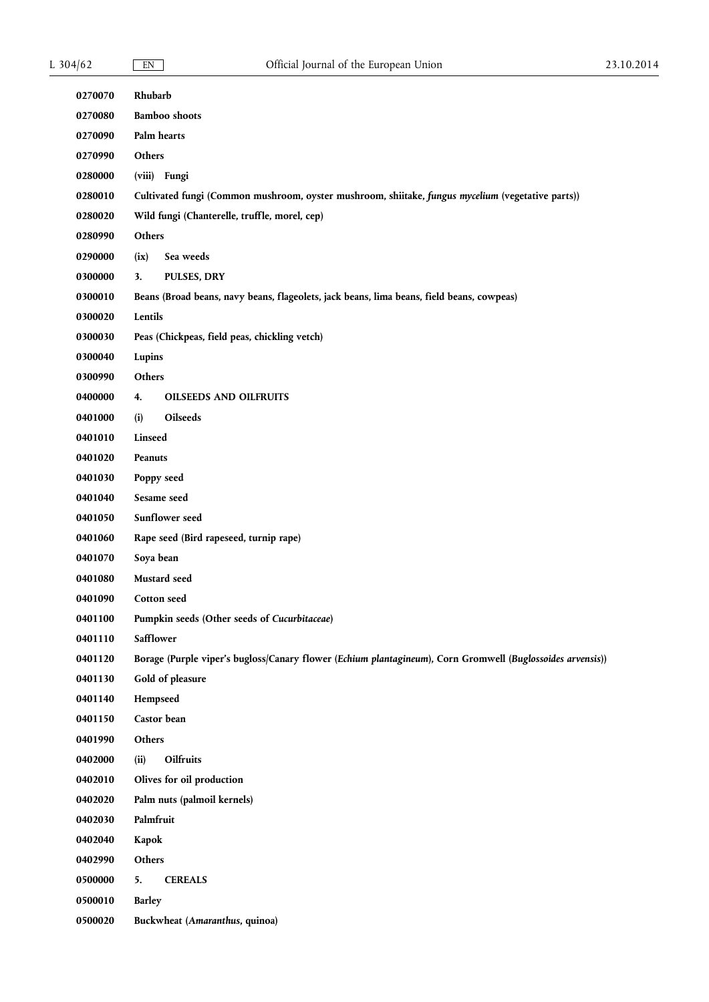| 0270070 | Rhubarb                                                                                                    |  |  |
|---------|------------------------------------------------------------------------------------------------------------|--|--|
| 0270080 | <b>Bamboo</b> shoots                                                                                       |  |  |
| 0270090 | Palm hearts                                                                                                |  |  |
| 0270990 | Others                                                                                                     |  |  |
| 0280000 | (viii) Fungi                                                                                               |  |  |
| 0280010 | Cultivated fungi (Common mushroom, oyster mushroom, shiitake, fungus mycelium (vegetative parts))          |  |  |
| 0280020 | Wild fungi (Chanterelle, truffle, morel, cep)                                                              |  |  |
| 0280990 | Others                                                                                                     |  |  |
| 0290000 | Sea weeds<br>(ix)                                                                                          |  |  |
| 0300000 | 3.<br>PULSES, DRY                                                                                          |  |  |
| 0300010 | Beans (Broad beans, navy beans, flageolets, jack beans, lima beans, field beans, cowpeas)                  |  |  |
| 0300020 | Lentils                                                                                                    |  |  |
| 0300030 | Peas (Chickpeas, field peas, chickling vetch)                                                              |  |  |
| 0300040 | Lupins                                                                                                     |  |  |
| 0300990 | Others                                                                                                     |  |  |
| 0400000 | <b>OILSEEDS AND OILFRUITS</b><br>4.                                                                        |  |  |
| 0401000 | Oilseeds<br>(i)                                                                                            |  |  |
| 0401010 | Linseed                                                                                                    |  |  |
| 0401020 | Peanuts                                                                                                    |  |  |
| 0401030 | Poppy seed                                                                                                 |  |  |
| 0401040 | Sesame seed                                                                                                |  |  |
| 0401050 | Sunflower seed                                                                                             |  |  |
| 0401060 | Rape seed (Bird rapeseed, turnip rape)                                                                     |  |  |
| 0401070 | Soya bean                                                                                                  |  |  |
| 0401080 | Mustard seed                                                                                               |  |  |
| 0401090 | <b>Cotton</b> seed                                                                                         |  |  |
| 0401100 | Pumpkin seeds (Other seeds of Cucurbitaceae)                                                               |  |  |
| 0401110 | Safflower                                                                                                  |  |  |
| 0401120 | Borage (Purple viper's bugloss/Canary flower (Echium plantagineum), Corn Gromwell (Buglossoides arvensis)) |  |  |
| 0401130 | Gold of pleasure                                                                                           |  |  |
| 0401140 | Hempseed                                                                                                   |  |  |
| 0401150 | Castor bean                                                                                                |  |  |
| 0401990 | Others                                                                                                     |  |  |
| 0402000 | (ii)<br>Oilfruits                                                                                          |  |  |
| 0402010 | Olives for oil production                                                                                  |  |  |
| 0402020 | Palm nuts (palmoil kernels)                                                                                |  |  |
| 0402030 | Palmfruit                                                                                                  |  |  |
| 0402040 | Kapok                                                                                                      |  |  |
| 0402990 | Others                                                                                                     |  |  |
| 0500000 | 5.<br><b>CEREALS</b>                                                                                       |  |  |
| 0500010 | <b>Barley</b>                                                                                              |  |  |
| 0500020 | Buckwheat (Amaranthus, quinoa)                                                                             |  |  |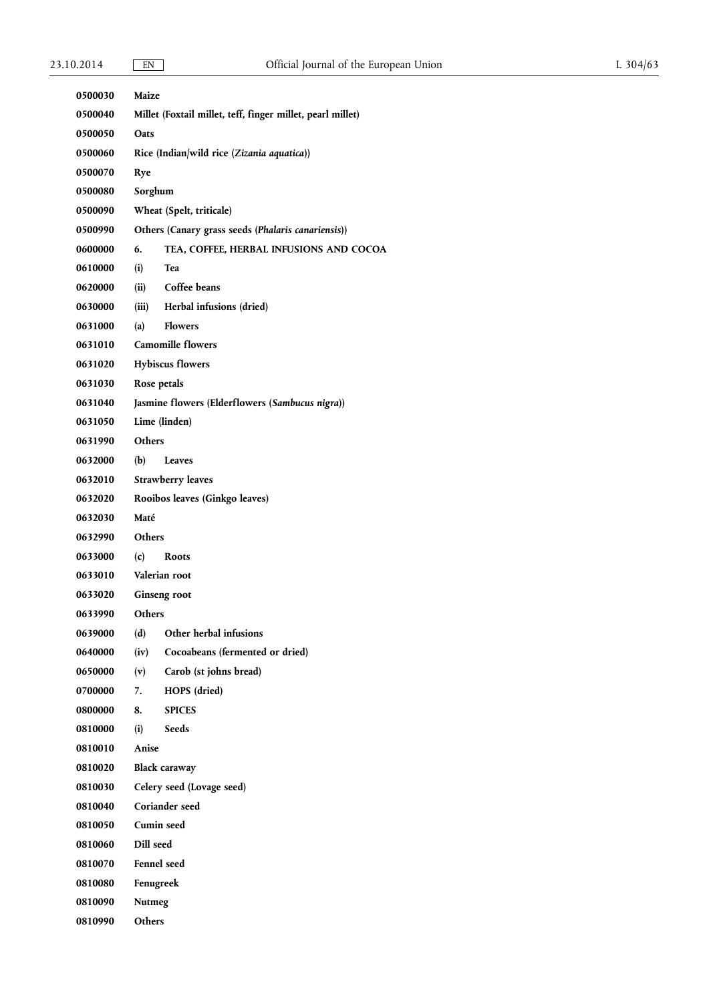| 0500030        | Maize                                                      |                                                    |  |
|----------------|------------------------------------------------------------|----------------------------------------------------|--|
| 0500040        | Millet (Foxtail millet, teff, finger millet, pearl millet) |                                                    |  |
| 0500050        | Oats                                                       |                                                    |  |
| 0500060        | Rice (Indian/wild rice (Zizania aquatica))                 |                                                    |  |
| 0500070        | Rye                                                        |                                                    |  |
| 0500080        | Sorghum                                                    |                                                    |  |
| 0500090        |                                                            | Wheat (Spelt, triticale)                           |  |
| 0500990        |                                                            | Others (Canary grass seeds (Phalaris canariensis)) |  |
| 0600000        | 6.                                                         | TEA, COFFEE, HERBAL INFUSIONS AND COCOA            |  |
| 0610000        | (i)                                                        | Tea                                                |  |
| 0620000        | (ii)                                                       | Coffee beans                                       |  |
| 0630000        | (iii)                                                      | Herbal infusions (dried)                           |  |
| 0631000        | (a)                                                        | <b>Flowers</b>                                     |  |
| 0631010        |                                                            | <b>Camomille flowers</b>                           |  |
| 0631020        |                                                            | <b>Hybiscus flowers</b>                            |  |
| 0631030        | Rose petals                                                |                                                    |  |
| 0631040        |                                                            | Jasmine flowers (Elderflowers (Sambucus nigra))    |  |
| 0631050        |                                                            | Lime (linden)                                      |  |
| 0631990        | <b>Others</b>                                              |                                                    |  |
| 0632000        | (b)                                                        | Leaves                                             |  |
| 0632010        |                                                            | <b>Strawberry leaves</b>                           |  |
| 0632020        |                                                            | Rooibos leaves (Ginkgo leaves)                     |  |
| 0632030        | Maté                                                       |                                                    |  |
| 0632990        | <b>Others</b>                                              |                                                    |  |
| 0633000        | (c)                                                        | <b>Roots</b>                                       |  |
| 0633010        | Valerian root                                              |                                                    |  |
| 0633020        | Ginseng root                                               |                                                    |  |
| 0633990        | Others                                                     |                                                    |  |
| 0639000        | (d)                                                        | Other herbal infusions                             |  |
| 0640000        | (iv)                                                       | Cocoabeans (fermented or dried)                    |  |
| 0650000        | (v)                                                        | Carob (st johns bread)                             |  |
| 0700000        | 7.                                                         | HOPS (dried)                                       |  |
| 0800000        | 8.                                                         | <b>SPICES</b>                                      |  |
| 0810000        | (i)                                                        | Seeds                                              |  |
| 0810010        | Anise                                                      |                                                    |  |
| 0810020        |                                                            | <b>Black caraway</b>                               |  |
| 0810030        |                                                            | Celery seed (Lovage seed)                          |  |
| 0810040        |                                                            | Coriander seed                                     |  |
| 0810050        | Cumin seed                                                 |                                                    |  |
| 0810060        | Dill seed                                                  |                                                    |  |
| 0810070        | <b>Fennel</b> seed                                         |                                                    |  |
| <b>0810080</b> | Fenugreek                                                  |                                                    |  |
| 0810090        | Nutmeg                                                     |                                                    |  |
| 0810990        | Others                                                     |                                                    |  |
|                |                                                            |                                                    |  |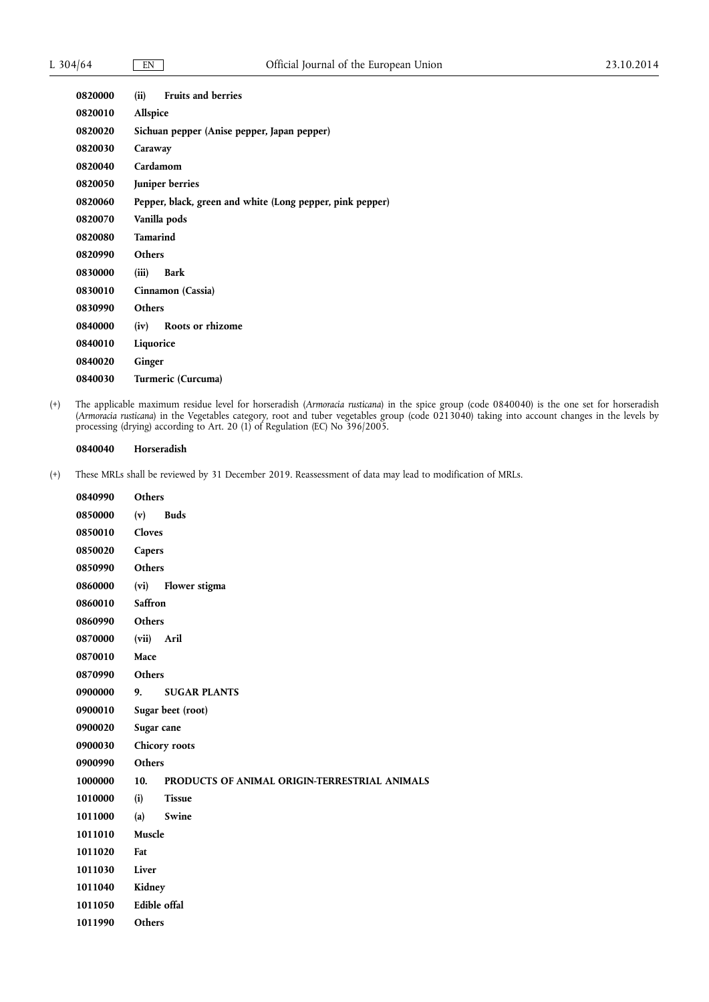| 0820000 | (ii)<br><b>Fruits and berries</b>                         |
|---------|-----------------------------------------------------------|
| 0820010 | Allspice                                                  |
| 0820020 | Sichuan pepper (Anise pepper, Japan pepper)               |
| 0820030 | Caraway                                                   |
| 0820040 | Cardamom                                                  |
| 0820050 | Juniper berries                                           |
| 0820060 | Pepper, black, green and white (Long pepper, pink pepper) |
| 0820070 | Vanilla pods                                              |
| 0820080 | <b>Tamarind</b>                                           |
| 0820990 | Others                                                    |
| 0830000 | (iii)<br>Bark                                             |
| 0830010 | Cinnamon (Cassia)                                         |
| 0830990 | <b>Others</b>                                             |
| 0840000 | (iv)<br>Roots or rhizome                                  |
| 0840010 | Liquorice                                                 |
| 0840020 | Ginger                                                    |
| 0840030 | Turmeric (Curcuma)                                        |

(+) The applicable maximum residue level for horseradish (*Armoracia rusticana*) in the spice group (code 0840040) is the one set for horseradish (*Armoracia rusticana*) in the Vegetables category, root and tuber vegetables group (code 0213040) taking into account changes in the levels by processing (drying) according to Art. 20 (1) of Regulation (EC) No 396/2005.

# **0840040 Horseradish**

| 0840990 | <b>Others</b>       |                                               |  |
|---------|---------------------|-----------------------------------------------|--|
| 0850000 | (v)                 | <b>Buds</b>                                   |  |
| 0850010 | Cloves              |                                               |  |
| 0850020 | Capers              |                                               |  |
| 0850990 | <b>Others</b>       |                                               |  |
| 0860000 | (vi)                | Flower stigma                                 |  |
| 0860010 | Saffron             |                                               |  |
| 0860990 | Others              |                                               |  |
| 0870000 | (vii)               | Aril                                          |  |
| 0870010 | Mace                |                                               |  |
| 0870990 | <b>Others</b>       |                                               |  |
| 0900000 | 9.                  | <b>SUGAR PLANTS</b>                           |  |
| 0900010 | Sugar beet (root)   |                                               |  |
| 0900020 | Sugar cane          |                                               |  |
| 0900030 | Chicory roots       |                                               |  |
| 0900990 | <b>Others</b>       |                                               |  |
| 1000000 | 10.                 | PRODUCTS OF ANIMAL ORIGIN-TERRESTRIAL ANIMALS |  |
| 1010000 | (i)                 | <b>Tissue</b>                                 |  |
| 1011000 | (a)                 | Swine                                         |  |
| 1011010 | Muscle              |                                               |  |
| 1011020 | Fat                 |                                               |  |
| 1011030 | Liver               |                                               |  |
| 1011040 | Kidney              |                                               |  |
| 1011050 | <b>Edible</b> offal |                                               |  |
| 1011990 | Others              |                                               |  |
|         |                     |                                               |  |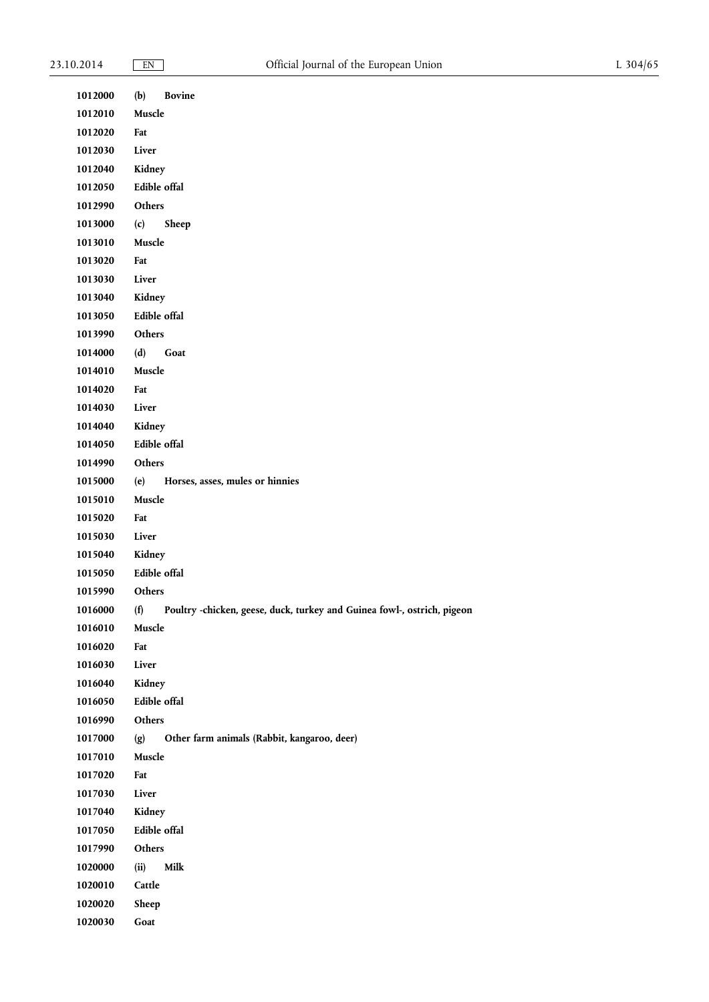| 1012000 | Bovine<br>(b)                                                                  |
|---------|--------------------------------------------------------------------------------|
| 1012010 | Muscle                                                                         |
| 1012020 | Fat                                                                            |
| 1012030 | Liver                                                                          |
| 1012040 | Kidney                                                                         |
| 1012050 | Edible offal                                                                   |
| 1012990 | Others                                                                         |
| 1013000 | (c)<br>Sheep                                                                   |
| 1013010 | Muscle                                                                         |
| 1013020 | Fat                                                                            |
| 1013030 | Liver                                                                          |
| 1013040 | Kidney                                                                         |
| 1013050 | Edible offal                                                                   |
| 1013990 | Others                                                                         |
| 1014000 | (d)<br>Goat                                                                    |
| 1014010 | Muscle                                                                         |
| 1014020 | Fat                                                                            |
| 1014030 | Liver                                                                          |
| 1014040 | Kidney                                                                         |
| 1014050 | Edible offal                                                                   |
| 1014990 | Others                                                                         |
| 1015000 | (e)<br>Horses, asses, mules or hinnies                                         |
| 1015010 | Muscle                                                                         |
| 1015020 | Fat                                                                            |
| 1015030 | Liver                                                                          |
| 1015040 | Kidney                                                                         |
| 1015050 | Edible offal                                                                   |
| 1015990 | Others                                                                         |
| 1016000 | (f)<br>Poultry -chicken, geese, duck, turkey and Guinea fowl-, ostrich, pigeon |
| 1016010 | Muscle                                                                         |
| 1016020 | Fat                                                                            |
| 1016030 | Liver                                                                          |
| 1016040 | Kidney                                                                         |
| 1016050 | Edible offal                                                                   |
| 1016990 | Others                                                                         |
| 1017000 | (g)<br>Other farm animals (Rabbit, kangaroo, deer)                             |
| 1017010 | Muscle                                                                         |
| 1017020 | Fat                                                                            |
| 1017030 | Liver                                                                          |
| 1017040 | Kidney                                                                         |
| 1017050 | Edible offal                                                                   |
| 1017990 | Others                                                                         |
| 1020000 | Milk<br>(ii)                                                                   |
| 1020010 | Cattle                                                                         |
| 1020020 | Sheep                                                                          |
| 1020030 | $\operatorname{\mathsf{Goat}}$                                                 |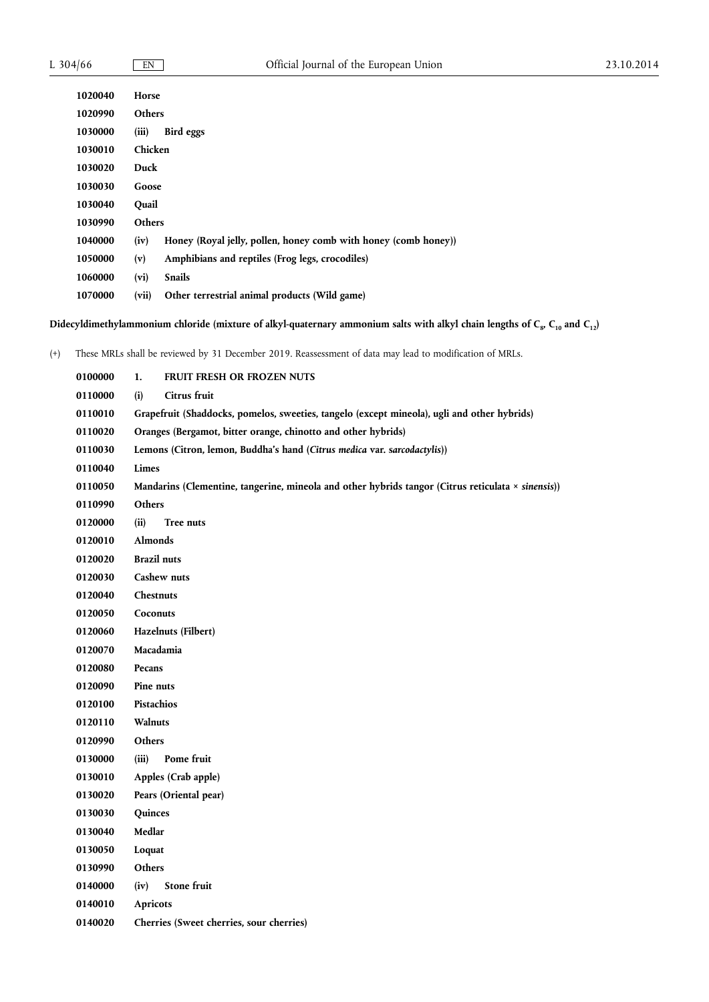| Horse                                                                   |  |  |
|-------------------------------------------------------------------------|--|--|
| <b>Others</b>                                                           |  |  |
| (iii)<br>Bird eggs                                                      |  |  |
| Chicken                                                                 |  |  |
| Duck                                                                    |  |  |
| Goose                                                                   |  |  |
| Ouail                                                                   |  |  |
| <b>Others</b>                                                           |  |  |
| Honey (Royal jelly, pollen, honey comb with honey (comb honey))<br>(iv) |  |  |
| Amphibians and reptiles (Frog legs, crocodiles)<br>(v)                  |  |  |
| (vi)<br><b>Snails</b>                                                   |  |  |
| (vii)<br>Other terrestrial animal products (Wild game)                  |  |  |
|                                                                         |  |  |

Didecyldimethylammonium chloride (mixture of alkyl-quaternary ammonium salts with alkyl chain lengths of C<sub>8</sub>, C<sub>10</sub> and C<sub>12</sub>)

| 0100000 | 1.<br>FRUIT FRESH OR FROZEN NUTS                                                                   |
|---------|----------------------------------------------------------------------------------------------------|
| 0110000 | (i)<br>Citrus fruit                                                                                |
| 0110010 | Grapefruit (Shaddocks, pomelos, sweeties, tangelo (except mineola), ugli and other hybrids)        |
| 0110020 | Oranges (Bergamot, bitter orange, chinotto and other hybrids)                                      |
| 0110030 | Lemons (Citron, lemon, Buddha's hand (Citrus medica var. sarcodactylis))                           |
| 0110040 | Limes                                                                                              |
| 0110050 | Mandarins (Clementine, tangerine, mineola and other hybrids tangor (Citrus reticulata × sinensis)) |
| 0110990 | Others                                                                                             |
| 0120000 | (ii)<br>Tree nuts                                                                                  |
| 0120010 | <b>Almonds</b>                                                                                     |
| 0120020 | <b>Brazil</b> nuts                                                                                 |
| 0120030 | Cashew nuts                                                                                        |
| 0120040 | Chestnuts                                                                                          |
| 0120050 | Coconuts                                                                                           |
| 0120060 | Hazelnuts (Filbert)                                                                                |
| 0120070 | Macadamia                                                                                          |
| 0120080 | Pecans                                                                                             |
| 0120090 | Pine nuts                                                                                          |
| 0120100 | Pistachios                                                                                         |
| 0120110 | Walnuts                                                                                            |
| 0120990 | Others                                                                                             |
| 0130000 | (iii)<br>Pome fruit                                                                                |
| 0130010 | Apples (Crab apple)                                                                                |
| 0130020 | Pears (Oriental pear)                                                                              |
| 0130030 | Quinces                                                                                            |
| 0130040 | Medlar                                                                                             |
| 0130050 | Loquat                                                                                             |
| 0130990 | Others                                                                                             |
| 0140000 | <b>Stone fruit</b><br>(iv)                                                                         |
| 0140010 | Apricots                                                                                           |
| 0140020 | Cherries (Sweet cherries, sour cherries)                                                           |
|         |                                                                                                    |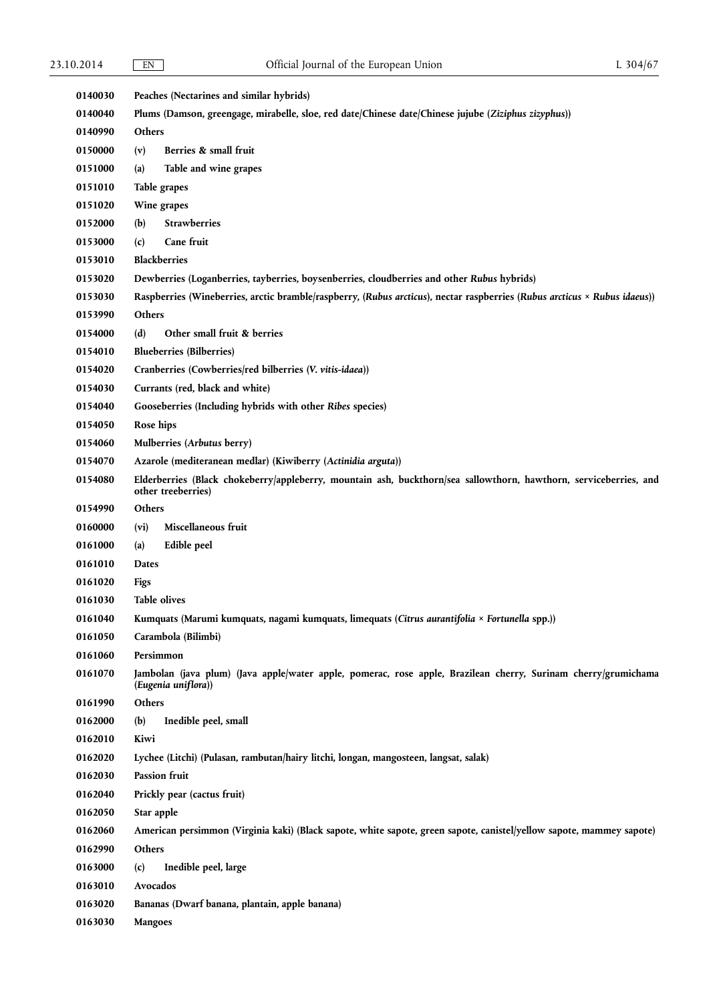| 0140030            | Peaches (Nectarines and similar hybrids)                                                                                                |  |
|--------------------|-----------------------------------------------------------------------------------------------------------------------------------------|--|
| 0140040            | Plums (Damson, greengage, mirabelle, sloe, red date/Chinese date/Chinese jujube (Ziziphus zizyphus))                                    |  |
| 0140990            | Others                                                                                                                                  |  |
| 0150000            | Berries & small fruit<br>(v)                                                                                                            |  |
| 0151000            | Table and wine grapes<br>(a)                                                                                                            |  |
| 0151010            | Table grapes                                                                                                                            |  |
| 0151020            | Wine grapes                                                                                                                             |  |
| 0152000            | <b>Strawberries</b><br>(b)                                                                                                              |  |
| 0153000            | Cane fruit<br>(c)                                                                                                                       |  |
| 0153010            | <b>Blackberries</b>                                                                                                                     |  |
| 0153020            | Dewberries (Loganberries, tayberries, boysenberries, cloudberries and other Rubus hybrids)                                              |  |
| 0153030            | Raspberries (Wineberries, arctic bramble/raspberry, (Rubus arcticus), nectar raspberries (Rubus arcticus × Rubus idaeus))               |  |
| 0153990            | Others                                                                                                                                  |  |
| 0154000            | Other small fruit & berries<br>(d)                                                                                                      |  |
| 0154010            | <b>Blueberries (Bilberries)</b>                                                                                                         |  |
| 0154020            | Cranberries (Cowberries/red bilberries (V. vitis-idaea))                                                                                |  |
| 0154030            | Currants (red, black and white)                                                                                                         |  |
| 0154040            | Gooseberries (Including hybrids with other Ribes species)                                                                               |  |
| 0154050            | Rose hips                                                                                                                               |  |
| 0154060            | Mulberries (Arbutus berry)                                                                                                              |  |
| 0154070            | Azarole (mediteranean medlar) (Kiwiberry (Actinidia arguta))                                                                            |  |
| 0154080            | Elderberries (Black chokeberry/appleberry, mountain ash, buckthorn/sea sallowthorn, hawthorn, serviceberries, and<br>other treeberries) |  |
| 0154990            | Others                                                                                                                                  |  |
| 0160000            | Miscellaneous fruit<br>$(v_i)$                                                                                                          |  |
| 0161000            | Edible peel<br>(a)                                                                                                                      |  |
| 0161010            | <b>Dates</b>                                                                                                                            |  |
| 0161020            | Figs                                                                                                                                    |  |
|                    |                                                                                                                                         |  |
| 0161030            | <b>Table olives</b>                                                                                                                     |  |
| 0161040            | Kumquats (Marumi kumquats, nagami kumquats, limequats (Citrus aurantifolia × Fortunella spp.))                                          |  |
| 0161050            | Carambola (Bilimbi)                                                                                                                     |  |
| 0161060            | Persimmon                                                                                                                               |  |
| 0161070            | Jambolan (java plum) (Java apple/water apple, pomerac, rose apple, Brazilean cherry, Surinam cherry/grumichama<br>(Eugenia uniflora))   |  |
| 0161990            | Others                                                                                                                                  |  |
| 0162000            | (b)<br>Inedible peel, small                                                                                                             |  |
| 0162010            | Kiwi                                                                                                                                    |  |
| 0162020            | Lychee (Litchi) (Pulasan, rambutan/hairy litchi, longan, mangosteen, langsat, salak)                                                    |  |
| 0162030            | Passion fruit                                                                                                                           |  |
| 0162040            | Prickly pear (cactus fruit)                                                                                                             |  |
| 0162050            | Star apple                                                                                                                              |  |
| 0162060            | American persimmon (Virginia kaki) (Black sapote, white sapote, green sapote, canistel/yellow sapote, mammey sapote)                    |  |
| 0162990            | Others                                                                                                                                  |  |
| 0163000            | Inedible peel, large<br>(c)                                                                                                             |  |
| 0163010            | Avocados                                                                                                                                |  |
| 0163020<br>0163030 | Bananas (Dwarf banana, plantain, apple banana)<br><b>Mangoes</b>                                                                        |  |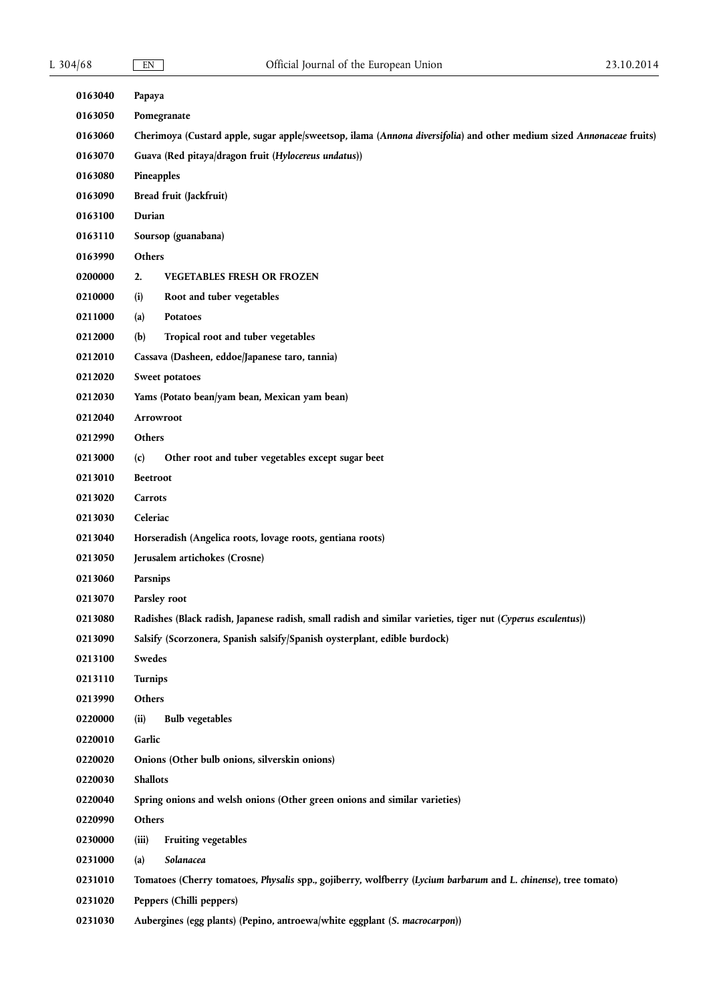| 0163040 | Papaya                                                                                                                |  |
|---------|-----------------------------------------------------------------------------------------------------------------------|--|
| 0163050 | Pomegranate                                                                                                           |  |
| 0163060 | Cherimoya (Custard apple, sugar apple/sweetsop, ilama (Annona diversifolia) and other medium sized Annonaceae fruits) |  |
| 0163070 | Guava (Red pitaya/dragon fruit (Hylocereus undatus))                                                                  |  |
| 0163080 | Pineapples                                                                                                            |  |
| 0163090 | Bread fruit (Jackfruit)                                                                                               |  |
| 0163100 | Durian                                                                                                                |  |
| 0163110 | Soursop (guanabana)                                                                                                   |  |
| 0163990 | Others                                                                                                                |  |
| 0200000 | 2.<br><b>VEGETABLES FRESH OR FROZEN</b>                                                                               |  |
| 0210000 | (i)<br>Root and tuber vegetables                                                                                      |  |
| 0211000 | Potatoes<br>(a)                                                                                                       |  |
| 0212000 | (b)<br>Tropical root and tuber vegetables                                                                             |  |
| 0212010 | Cassava (Dasheen, eddoe/Japanese taro, tannia)                                                                        |  |
| 0212020 | Sweet potatoes                                                                                                        |  |
| 0212030 | Yams (Potato bean/yam bean, Mexican yam bean)                                                                         |  |
| 0212040 | Arrowroot                                                                                                             |  |
| 0212990 | Others                                                                                                                |  |
| 0213000 | Other root and tuber vegetables except sugar beet<br>(c)                                                              |  |
| 0213010 | <b>Beetroot</b>                                                                                                       |  |
| 0213020 | Carrots                                                                                                               |  |
| 0213030 | Celeriac                                                                                                              |  |
| 0213040 | Horseradish (Angelica roots, lovage roots, gentiana roots)                                                            |  |
| 0213050 | Jerusalem artichokes (Crosne)                                                                                         |  |
| 0213060 | Parsnips                                                                                                              |  |
| 0213070 | Parsley root                                                                                                          |  |
| 0213080 | Radishes (Black radish, Japanese radish, small radish and similar varieties, tiger nut (Cyperus esculentus))          |  |
| 0213090 | Salsify (Scorzonera, Spanish salsify/Spanish oysterplant, edible burdock)                                             |  |
| 0213100 | Swedes                                                                                                                |  |
| 0213110 | Turnips                                                                                                               |  |
| 0213990 | Others                                                                                                                |  |
| 0220000 | <b>Bulb</b> vegetables<br>(ii)                                                                                        |  |
| 0220010 | Garlic                                                                                                                |  |
| 0220020 | Onions (Other bulb onions, silverskin onions)                                                                         |  |
| 0220030 | <b>Shallots</b>                                                                                                       |  |
| 0220040 | Spring onions and welsh onions (Other green onions and similar varieties)                                             |  |
| 0220990 | Others                                                                                                                |  |
| 0230000 | Fruiting vegetables<br>(iii)                                                                                          |  |
| 0231000 | Solanacea<br>(a)                                                                                                      |  |
| 0231010 | Tomatoes (Cherry tomatoes, Physalis spp., gojiberry, wolfberry (Lycium barbarum and L. chinense), tree tomato)        |  |
| 0231020 | Peppers (Chilli peppers)                                                                                              |  |
| 0231030 | Aubergines (egg plants) (Pepino, antroewa/white eggplant (S. macrocarpon))                                            |  |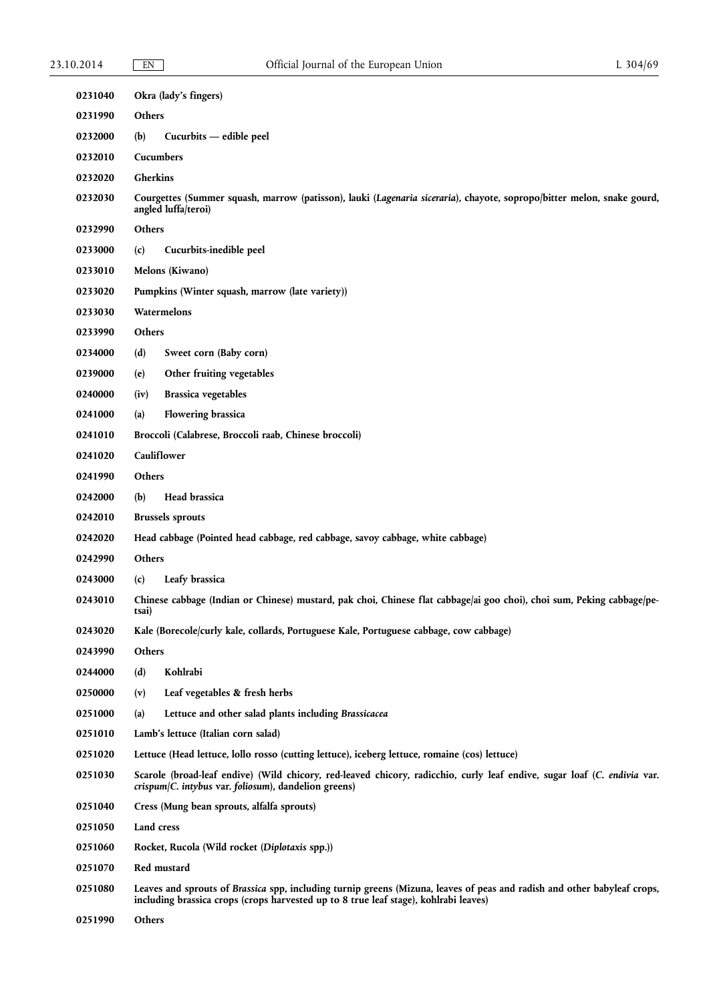| 0231040 |                                                                                                                                                                                  | Okra (lady's fingers)                                                                                                                                                                                            |
|---------|----------------------------------------------------------------------------------------------------------------------------------------------------------------------------------|------------------------------------------------------------------------------------------------------------------------------------------------------------------------------------------------------------------|
| 0231990 | Others                                                                                                                                                                           |                                                                                                                                                                                                                  |
| 0232000 | (b)                                                                                                                                                                              | Cucurbits — edible peel                                                                                                                                                                                          |
| 0232010 | Cucumbers                                                                                                                                                                        |                                                                                                                                                                                                                  |
| 0232020 | Gherkins                                                                                                                                                                         |                                                                                                                                                                                                                  |
| 0232030 | Courgettes (Summer squash, marrow (patisson), lauki (Lagenaria siceraria), chayote, sopropo/bitter melon, snake gourd,<br>angled luffa/teroi)                                    |                                                                                                                                                                                                                  |
| 0232990 | Others                                                                                                                                                                           |                                                                                                                                                                                                                  |
| 0233000 | (c)                                                                                                                                                                              | Cucurbits-inedible peel                                                                                                                                                                                          |
| 0233010 | <b>Melons</b> (Kiwano)                                                                                                                                                           |                                                                                                                                                                                                                  |
| 0233020 |                                                                                                                                                                                  | Pumpkins (Winter squash, marrow (late variety))                                                                                                                                                                  |
| 0233030 |                                                                                                                                                                                  | Watermelons                                                                                                                                                                                                      |
| 0233990 | Others                                                                                                                                                                           |                                                                                                                                                                                                                  |
| 0234000 | (d)                                                                                                                                                                              | Sweet corn (Baby corn)                                                                                                                                                                                           |
| 0239000 | (e)                                                                                                                                                                              | Other fruiting vegetables                                                                                                                                                                                        |
| 0240000 | (iv)                                                                                                                                                                             | <b>Brassica vegetables</b>                                                                                                                                                                                       |
| 0241000 | (a)                                                                                                                                                                              | <b>Flowering brassica</b>                                                                                                                                                                                        |
| 0241010 |                                                                                                                                                                                  | Broccoli (Calabrese, Broccoli raab, Chinese broccoli)                                                                                                                                                            |
| 0241020 |                                                                                                                                                                                  | Cauliflower                                                                                                                                                                                                      |
| 0241990 | Others                                                                                                                                                                           |                                                                                                                                                                                                                  |
| 0242000 | (b)                                                                                                                                                                              | Head brassica                                                                                                                                                                                                    |
| 0242010 |                                                                                                                                                                                  | <b>Brussels</b> sprouts                                                                                                                                                                                          |
| 0242020 |                                                                                                                                                                                  | Head cabbage (Pointed head cabbage, red cabbage, savoy cabbage, white cabbage)                                                                                                                                   |
| 0242990 | Others                                                                                                                                                                           |                                                                                                                                                                                                                  |
| 0243000 | (c)                                                                                                                                                                              | Leafy brassica                                                                                                                                                                                                   |
| 0243010 | tsaı)                                                                                                                                                                            | Chinese cabbage (Indian or Chinese) mustard, pak choi, Chinese flat cabbage/ai goo choi), choi sum, Peking cabbage/pe-                                                                                           |
| 0243020 |                                                                                                                                                                                  | Kale (Borecole/curly kale, collards, Portuguese Kale, Portuguese cabbage, cow cabbage)                                                                                                                           |
| 0243990 | Others                                                                                                                                                                           |                                                                                                                                                                                                                  |
| 0244000 | (d)                                                                                                                                                                              | Kohlrabi                                                                                                                                                                                                         |
| 0250000 | (v)                                                                                                                                                                              | Leaf vegetables & fresh herbs                                                                                                                                                                                    |
| 0251000 | (a)                                                                                                                                                                              | Lettuce and other salad plants including Brassicacea                                                                                                                                                             |
| 0251010 | Lamb's lettuce (Italian corn salad)                                                                                                                                              |                                                                                                                                                                                                                  |
| 0251020 |                                                                                                                                                                                  | Lettuce (Head lettuce, lollo rosso (cutting lettuce), iceberg lettuce, romaine (cos) lettuce)                                                                                                                    |
| 0251030 | Scarole (broad-leaf endive) (Wild chicory, red-leaved chicory, radicchio, curly leaf endive, sugar loaf (C. endivia var.<br>crispum/C. intybus var. foliosum), dandelion greens) |                                                                                                                                                                                                                  |
| 0251040 | Cress (Mung bean sprouts, alfalfa sprouts)                                                                                                                                       |                                                                                                                                                                                                                  |
| 0251050 | Land cress                                                                                                                                                                       |                                                                                                                                                                                                                  |
| 0251060 |                                                                                                                                                                                  | Rocket, Rucola (Wild rocket (Diplotaxis spp.))                                                                                                                                                                   |
| 0251070 |                                                                                                                                                                                  | Red mustard                                                                                                                                                                                                      |
| 0251080 |                                                                                                                                                                                  | Leaves and sprouts of Brassica spp, including turnip greens (Mizuna, leaves of peas and radish and other babyleaf crops,<br>including brassica crops (crops harvested up to 8 true leaf stage), kohlrabi leaves) |

**0251990 Others**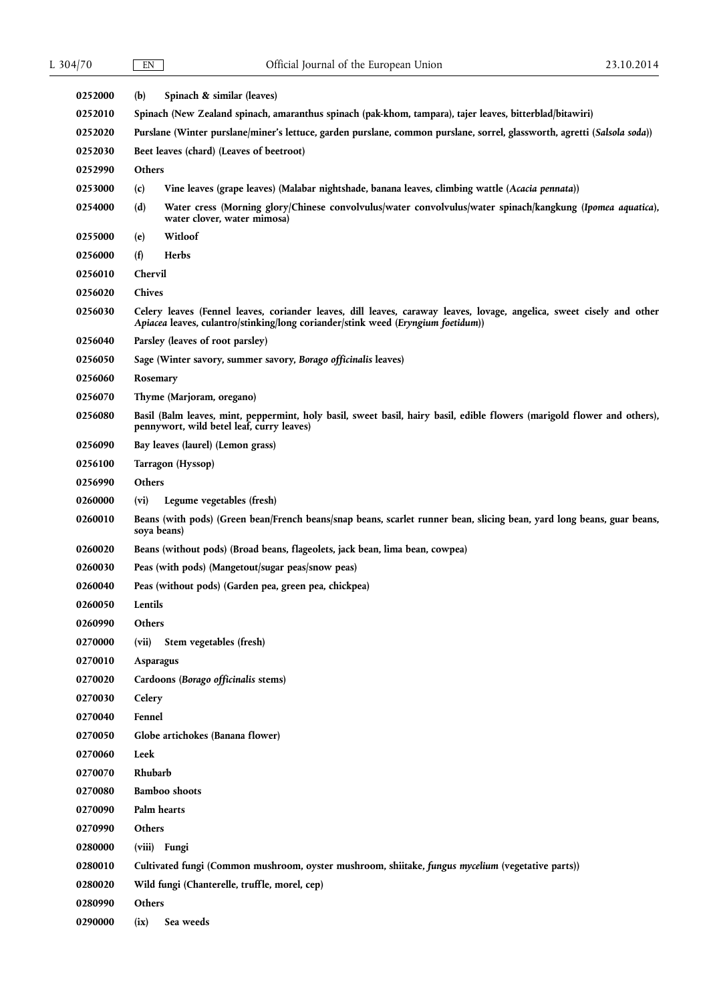| 0252000        | (b)<br>Spinach & similar (leaves)                                                                                                                                                                         |  |
|----------------|-----------------------------------------------------------------------------------------------------------------------------------------------------------------------------------------------------------|--|
| 0252010        | Spinach (New Zealand spinach, amaranthus spinach (pak-khom, tampara), tajer leaves, bitterblad/bitawiri)                                                                                                  |  |
| 0252020        | Purslane (Winter purslane/miner's lettuce, garden purslane, common purslane, sorrel, glassworth, agretti (Salsola soda))                                                                                  |  |
| 0252030        | Beet leaves (chard) (Leaves of beetroot)                                                                                                                                                                  |  |
| 0252990        | Others                                                                                                                                                                                                    |  |
| <b>0253000</b> | (c)<br>Vine leaves (grape leaves) (Malabar nightshade, banana leaves, climbing wattle (Acacia pennata))                                                                                                   |  |
| 0254000        | (d)<br>Water cress (Morning glory/Chinese convolvulus/water convolvulus/water spinach/kangkung (Ipomea aquatica),<br>water clover, water mimosa)                                                          |  |
| 0255000        | Witloof<br>(e)                                                                                                                                                                                            |  |
| 0256000        | (f)<br>Herbs                                                                                                                                                                                              |  |
| 0256010        | Chervil                                                                                                                                                                                                   |  |
| 0256020        | Chives                                                                                                                                                                                                    |  |
| 0256030        | Celery leaves (Fennel leaves, coriander leaves, dill leaves, caraway leaves, lovage, angelica, sweet cisely and other<br>Apiacea leaves, culantro/stinking/long coriander/stink weed (Eryngium foetidum)) |  |
| 0256040        | Parsley (leaves of root parsley)                                                                                                                                                                          |  |
| 0256050        | Sage (Winter savory, summer savory, Borago officinalis leaves)                                                                                                                                            |  |
| 0256060        | Rosemary                                                                                                                                                                                                  |  |
| 0256070        | Thyme (Marjoram, oregano)                                                                                                                                                                                 |  |
| 0256080        | Basil (Balm leaves, mint, peppermint, holy basil, sweet basil, hairy basil, edible flowers (marigold flower and others),<br>pennywort, wild betel leaf, curry leaves)                                     |  |
| 0256090        | Bay leaves (laurel) (Lemon grass)                                                                                                                                                                         |  |
| 0256100        | Tarragon (Hyssop)                                                                                                                                                                                         |  |
| 0256990        | Others                                                                                                                                                                                                    |  |
| 0260000        | Legume vegetables (fresh)<br>(vi)                                                                                                                                                                         |  |
| 0260010        | Beans (with pods) (Green bean/French beans/snap beans, scarlet runner bean, slicing bean, yard long beans, guar beans,<br>soya beans)                                                                     |  |
| 0260020        | Beans (without pods) (Broad beans, flageolets, jack bean, lima bean, cowpea)                                                                                                                              |  |
| 0260030        | Peas (with pods) (Mangetout/sugar peas/snow peas)                                                                                                                                                         |  |
| 0260040        | Peas (without pods) (Garden pea, green pea, chickpea)                                                                                                                                                     |  |
| 0260050        | Lentils                                                                                                                                                                                                   |  |
| 0260990        | Others                                                                                                                                                                                                    |  |
| 0270000        | Stem vegetables (fresh)<br>(vii)                                                                                                                                                                          |  |
| 0270010        | Asparagus                                                                                                                                                                                                 |  |
| 0270020        | Cardoons (Borago officinalis stems)                                                                                                                                                                       |  |
| 0270030        | Celery                                                                                                                                                                                                    |  |
| 0270040        | Fennel                                                                                                                                                                                                    |  |
| 0270050        | Globe artichokes (Banana flower)                                                                                                                                                                          |  |
| 0270060        | Leek                                                                                                                                                                                                      |  |
| 0270070        | Rhubarb                                                                                                                                                                                                   |  |
| 0270080        | <b>Bamboo</b> shoots                                                                                                                                                                                      |  |
| 0270090        | Palm hearts                                                                                                                                                                                               |  |
| 0270990        | Others                                                                                                                                                                                                    |  |
| 0280000        | (viii) Fungi                                                                                                                                                                                              |  |
| 0280010        | Cultivated fungi (Common mushroom, oyster mushroom, shiitake, fungus mycelium (vegetative parts))                                                                                                         |  |
| 0280020        | Wild fungi (Chanterelle, truffle, morel, cep)                                                                                                                                                             |  |
| 0280990        | Others                                                                                                                                                                                                    |  |
| 0290000        | Sea weeds<br>(ix)                                                                                                                                                                                         |  |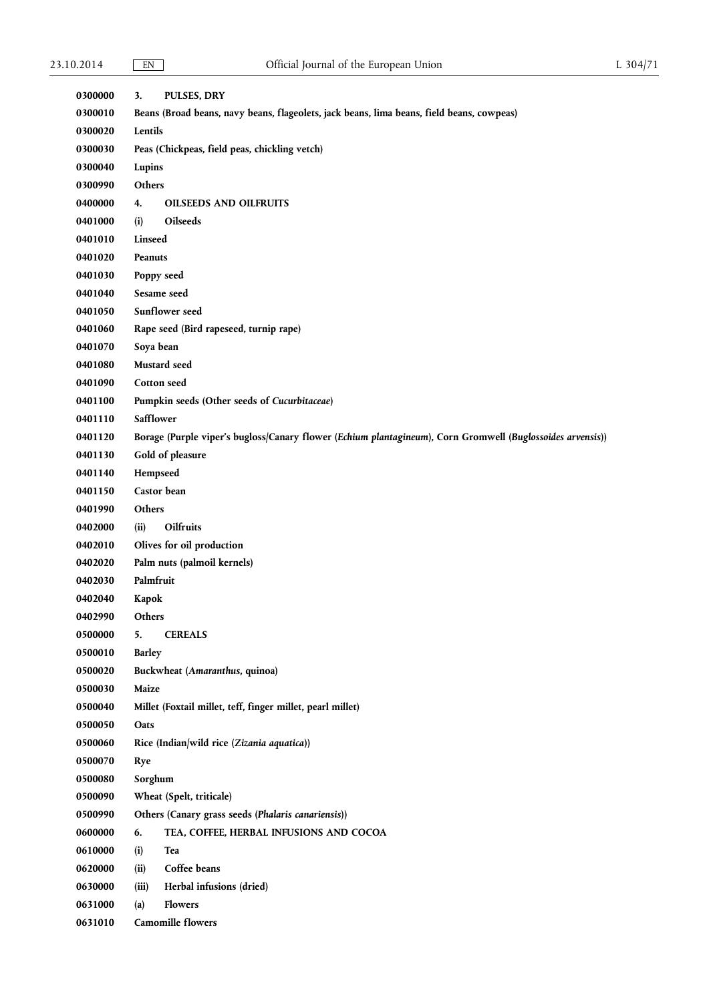| 0300000 | 3.                                                                                        | <b>PULSES, DRY</b>                                                                                         |  |
|---------|-------------------------------------------------------------------------------------------|------------------------------------------------------------------------------------------------------------|--|
| 0300010 | Beans (Broad beans, navy beans, flageolets, jack beans, lima beans, field beans, cowpeas) |                                                                                                            |  |
| 0300020 | Lentils                                                                                   |                                                                                                            |  |
| 0300030 | Peas (Chickpeas, field peas, chickling vetch)                                             |                                                                                                            |  |
| 0300040 | Lupins                                                                                    |                                                                                                            |  |
| 0300990 | Others                                                                                    |                                                                                                            |  |
| 0400000 | 4.                                                                                        | <b>OILSEEDS AND OILFRUITS</b>                                                                              |  |
| 0401000 | (i)                                                                                       | Oilseeds                                                                                                   |  |
| 0401010 | Linseed                                                                                   |                                                                                                            |  |
| 0401020 | Peanuts                                                                                   |                                                                                                            |  |
| 0401030 | Poppy seed                                                                                |                                                                                                            |  |
| 0401040 | Sesame seed                                                                               |                                                                                                            |  |
| 0401050 | Sunflower seed                                                                            |                                                                                                            |  |
| 0401060 | Rape seed (Bird rapeseed, turnip rape)                                                    |                                                                                                            |  |
| 0401070 | Soya bean                                                                                 |                                                                                                            |  |
| 0401080 |                                                                                           | Mustard seed                                                                                               |  |
| 0401090 |                                                                                           | Cotton seed                                                                                                |  |
| 0401100 |                                                                                           | Pumpkin seeds (Other seeds of Cucurbitaceae)                                                               |  |
| 0401110 | Safflower                                                                                 |                                                                                                            |  |
| 0401120 |                                                                                           | Borage (Purple viper's bugloss/Canary flower (Echium plantagineum), Corn Gromwell (Buglossoides arvensis)) |  |
| 0401130 |                                                                                           | Gold of pleasure                                                                                           |  |
| 0401140 | Hempseed                                                                                  |                                                                                                            |  |
| 0401150 |                                                                                           | Castor bean                                                                                                |  |
| 0401990 | Others                                                                                    |                                                                                                            |  |
| 0402000 | (ii)                                                                                      | Oilfruits                                                                                                  |  |
| 0402010 |                                                                                           | Olives for oil production                                                                                  |  |
| 0402020 |                                                                                           | Palm nuts (palmoil kernels)                                                                                |  |
| 0402030 | Palmfruit                                                                                 |                                                                                                            |  |
| 0402040 | Kapok                                                                                     |                                                                                                            |  |
| 0402990 | Others                                                                                    |                                                                                                            |  |
| 0500000 | 5.                                                                                        | <b>CEREALS</b>                                                                                             |  |
| 0500010 | <b>Barley</b>                                                                             |                                                                                                            |  |
| 0500020 |                                                                                           | Buckwheat (Amaranthus, quinoa)                                                                             |  |
| 0500030 | Maize                                                                                     |                                                                                                            |  |
| 0500040 |                                                                                           | Millet (Foxtail millet, teff, finger millet, pearl millet)                                                 |  |
| 0500050 | Oats                                                                                      |                                                                                                            |  |
| 0500060 |                                                                                           | Rice (Indian/wild rice (Zizania aquatica))                                                                 |  |
| 0500070 | Rye                                                                                       |                                                                                                            |  |
| 0500080 | Sorghum                                                                                   |                                                                                                            |  |
| 0500090 | Wheat (Spelt, triticale)                                                                  |                                                                                                            |  |
| 0500990 |                                                                                           | Others (Canary grass seeds (Phalaris canariensis))                                                         |  |
| 0600000 | 6.                                                                                        | TEA, COFFEE, HERBAL INFUSIONS AND COCOA                                                                    |  |
| 0610000 | (i)                                                                                       | Tea                                                                                                        |  |
| 0620000 | (ii)                                                                                      | Coffee beans                                                                                               |  |
| 0630000 | (iii)                                                                                     | Herbal infusions (dried)                                                                                   |  |
| 0631000 | (a)                                                                                       | <b>Flowers</b>                                                                                             |  |
| 0631010 |                                                                                           | <b>Camomille flowers</b>                                                                                   |  |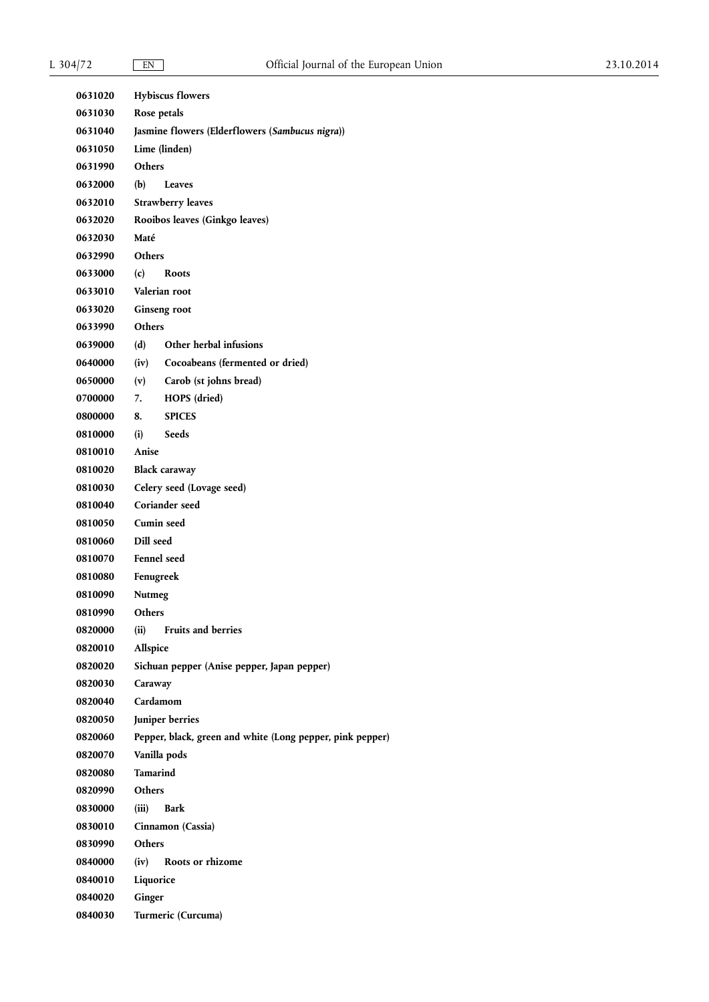| 0631020            | <b>Hybiscus flowers</b>                                          |
|--------------------|------------------------------------------------------------------|
| 0631030<br>0631040 | Rose petals                                                      |
| 0631050            | Jasmine flowers (Elderflowers (Sambucus nigra))<br>Lime (linden) |
| 0631990            | <b>Others</b>                                                    |
| 0632000            | (b)<br>Leaves                                                    |
| 0632010            | <b>Strawberry leaves</b>                                         |
| 0632020            | Rooibos leaves (Ginkgo leaves)                                   |
| 0632030            | Maté                                                             |
| 0632990            | <b>Others</b>                                                    |
| 0633000            | (c)<br><b>Roots</b>                                              |
| 0633010            | Valerian root                                                    |
| 0633020            | Ginseng root                                                     |
| 0633990            | <b>Others</b>                                                    |
| 0639000            | Other herbal infusions<br>(d)                                    |
| 0640000            | (iv)<br>Cocoabeans (fermented or dried)                          |
| 0650000            | Carob (st johns bread)<br>(v)                                    |
| 0700000            | 7.<br>HOPS (dried)                                               |
| 0800000            | <b>SPICES</b><br>8.                                              |
| 0810000            | (i)<br><b>Seeds</b>                                              |
| 0810010            | Anise                                                            |
| 0810020            | <b>Black caraway</b>                                             |
| 0810030            | Celery seed (Lovage seed)                                        |
| 0810040            | Coriander seed                                                   |
| 0810050            | Cumin seed                                                       |
| 0810060            | Dill seed                                                        |
| 0810070            | <b>Fennel</b> seed                                               |
| 0810080            | Fenugreek                                                        |
| 0810090            | Nutmeg                                                           |
| 0810990            | Others                                                           |
| 0820000            | <b>Fruits and berries</b><br>(ii)                                |
| 0820010            | Allspice                                                         |
| 0820020            | Sichuan pepper (Anise pepper, Japan pepper)                      |
| 0820030            | Caraway                                                          |
| 0820040            | Cardamom                                                         |
| 0820050            | Juniper berries                                                  |
| 0820060            | Pepper, black, green and white (Long pepper, pink pepper)        |
| 0820070            | Vanilla pods                                                     |
| 0820080            | <b>Tamarind</b>                                                  |
| 0820990            | <b>Others</b>                                                    |
| 0830000            | (iii)<br><b>Bark</b>                                             |
| 0830010            | Cinnamon (Cassia)                                                |
| 0830990            | <b>Others</b>                                                    |
| 0840000            | (iv)<br>Roots or rhizome                                         |
| 0840010            | Liquorice                                                        |
| 0840020            | Ginger                                                           |
| 0840030            | Turmeric (Curcuma)                                               |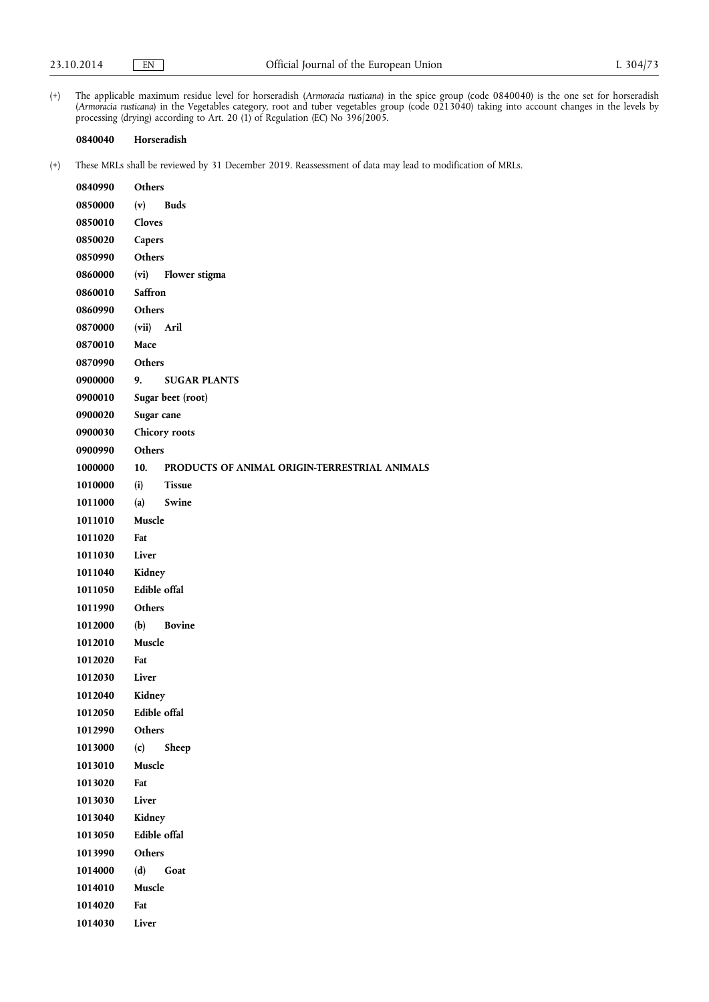(+) The applicable maximum residue level for horseradish (*Armoracia rusticana*) in the spice group (code 0840040) is the one set for horseradish (*Armoracia rusticana*) in the Vegetables category, root and tuber vegetables group (code 0213040) taking into account changes in the levels by processing (drying) according to Art. 20 (1) of Regulation (EC) No 396/2005.

### **0840040 Horseradish**

| 0840990 | <b>Others</b>                                        |
|---------|------------------------------------------------------|
| 0850000 | (v)<br>Buds                                          |
| 0850010 | Cloves                                               |
| 0850020 | Capers                                               |
| 0850990 | <b>Others</b>                                        |
| 0860000 | (vi)<br><b>Flower stigma</b>                         |
| 0860010 | Saffron                                              |
| 0860990 | <b>Others</b>                                        |
| 0870000 | (vii) Aril                                           |
| 0870010 | Mace                                                 |
| 0870990 | <b>Others</b>                                        |
| 0900000 | <b>SUGAR PLANTS</b><br>9.                            |
| 0900010 | Sugar beet (root)                                    |
| 0900020 | Sugar cane                                           |
| 0900030 | Chicory roots                                        |
| 0900990 | <b>Others</b>                                        |
| 1000000 | 10.<br>PRODUCTS OF ANIMAL ORIGIN-TERRESTRIAL ANIMALS |
| 1010000 | <b>Tissue</b><br>(i)                                 |
| 1011000 | (a)<br>Swine                                         |
| 1011010 | Muscle                                               |
| 1011020 | Fat                                                  |
| 1011030 | Liver                                                |
| 1011040 | Kidney                                               |
| 1011050 | <b>Edible offal</b>                                  |
| 1011990 | <b>Others</b>                                        |
| 1012000 | (b)<br><b>Bovine</b>                                 |
| 1012010 | Muscle                                               |
| 1012020 | Fat                                                  |
| 1012030 | Liver                                                |
| 1012040 | Kidney                                               |
| 1012050 | Edible offal                                         |
| 1012990 | Others                                               |
| 1013000 | (c)<br>Sheep                                         |
| 1013010 | Muscle                                               |
| 1013020 | Fat                                                  |
| 1013030 | Liver                                                |
| 1013040 | Kidney                                               |
| 1013050 | Edible offal                                         |
| 1013990 | Others                                               |
| 1014000 | (d)<br>Goat                                          |
| 1014010 | Muscle                                               |
| 1014020 | Fat                                                  |
| 1014030 | Liver                                                |